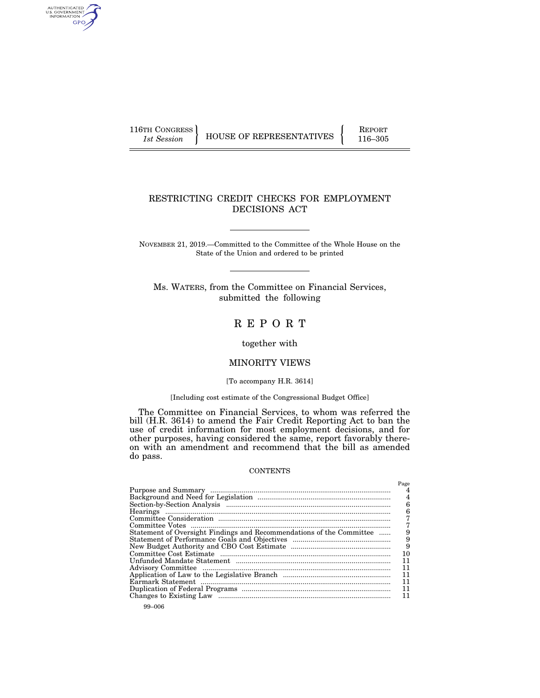AUTHENTICATED<br>U.S. GOVERNMENT<br>INFORMATION GPO

116TH CONGRESS HOUSE OF REPRESENTATIVES FEPORT 116–305

# RESTRICTING CREDIT CHECKS FOR EMPLOYMENT DECISIONS ACT

NOVEMBER 21, 2019.—Committed to the Committee of the Whole House on the State of the Union and ordered to be printed

Ms. WATERS, from the Committee on Financial Services, submitted the following

# R E P O R T

together with

# MINORITY VIEWS

#### [To accompany H.R. 3614]

# [Including cost estimate of the Congressional Budget Office]

The Committee on Financial Services, to whom was referred the bill (H.R. 3614) to amend the Fair Credit Reporting Act to ban the use of credit information for most employment decisions, and for other purposes, having considered the same, report favorably thereon with an amendment and recommend that the bill as amended do pass.

# **CONTENTS**

| Statement of Oversight Findings and Recommendations of the Committee | Page<br>4<br>6<br>6<br>9<br>9<br>9<br>10<br>11<br>11<br>11<br>11 |
|----------------------------------------------------------------------|------------------------------------------------------------------|
|                                                                      |                                                                  |
|                                                                      |                                                                  |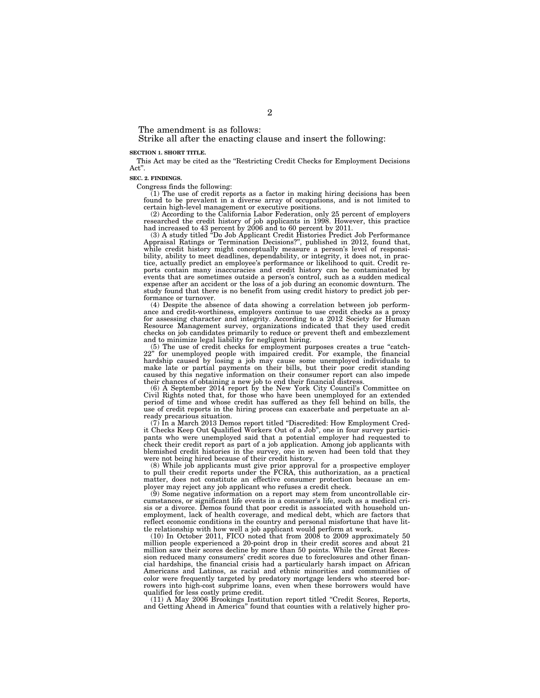The amendment is as follows:

Strike all after the enacting clause and insert the following:

#### **SECTION 1. SHORT TITLE.**

This Act may be cited as the ''Restricting Credit Checks for Employment Decisions Act''.

#### **SEC. 2. FINDINGS.**

Congress finds the following:

(1) The use of credit reports as a factor in making hiring decisions has been found to be prevalent in a diverse array of occupations, and is not limited to certain high-level management or executive positions.

(2) According to the California Labor Federation, only 25 percent of employers researched the credit history of job applicants in 1998. However, this practice had increased to 43 percent by 2006 and to 60 percent by 2011. (3) A study titled ''Do Job Applicant Credit Histories Predict Job Performance

Appraisal Ratings or Termination Decisions?'', published in 2012, found that, while credit history might conceptually measure a person's level of responsibility, ability to meet deadlines, dependability, or integrity, it does not, in prac-tice, actually predict an employee's performance or likelihood to quit. Credit reports contain many inaccuracies and credit history can be contaminated by events that are sometimes outside a person's control, such as a sudden medical expense after an accident or the loss of a job during an economic downturn. The study found that there is no benefit from using credit history to predict job performance or turnover.

(4) Despite the absence of data showing a correlation between job performance and credit-worthiness, employers continue to use credit checks as a proxy for assessing character and integrity. According to a 2012 Society for Human Resource Management survey, organizations indicated that they used credit checks on job candidates primarily to reduce or prevent theft and embezzlement and to minimize legal liability for negligent hiring.

(5) The use of credit checks for employment purposes creates a true ''catch-22'' for unemployed people with impaired credit. For example, the financial hardship caused by losing a job may cause some unemployed individuals to make late or partial payments on their bills, but their poor credit standing caused by this negative information on their consumer report can also impede their chances of obtaining a new job to end their financial distress.

(6) A September 2014 report by the New York City Council's Committee on Civil Rights noted that, for those who have been unemployed for an extended period of time and whose credit has suffered as they fell behind on bills, the use of credit reports in the hiring process can exacerbate and perpetuate an already precarious situation.

 $(7)$  In a March 2013 Demos report titled "Discredited: How Employment Credit Checks Keep Out Qualified Workers Out of a Job'', one in four survey participants who were unemployed said that a potential employer had requested to check their credit report as part of a job application. Among job applicants with blemished credit histories in the survey, one in seven had been told that they were not being hired because of their credit history.

(8) While job applicants must give prior approval for a prospective employer to pull their credit reports under the FCRA, this authorization, as a practical matter, does not constitute an effective consumer protection because an employer may reject any job applicant who refuses a credit check.

(9) Some negative information on a report may stem from uncontrollable circumstances, or significant life events in a consumer's life, such as a medical crisis or a divorce. Demos found that poor credit is associated with household unemployment, lack of health coverage, and medical debt, which are factors that reflect economic conditions in the country and personal misfortune that have little relationship with how well a job applicant would perform at work.

(10) In October 2011, FICO noted that from 2008 to 2009 approximately 50 million people experienced a 20-point drop in their credit scores and about 21 million saw their scores decline by more than 50 points. While the Great Recession reduced many consumers' credit scores due to foreclosures and other financial hardships, the financial crisis had a particularly harsh impact on African Americans and Latinos, as racial and ethnic minorities and communities of color were frequently targeted by predatory mortgage lenders who steered borrowers into high-cost subprime loans, even when these borrowers would have qualified for less costly prime credit.

(11) A May 2006 Brookings Institution report titled ''Credit Scores, Reports, and Getting Ahead in America'' found that counties with a relatively higher pro-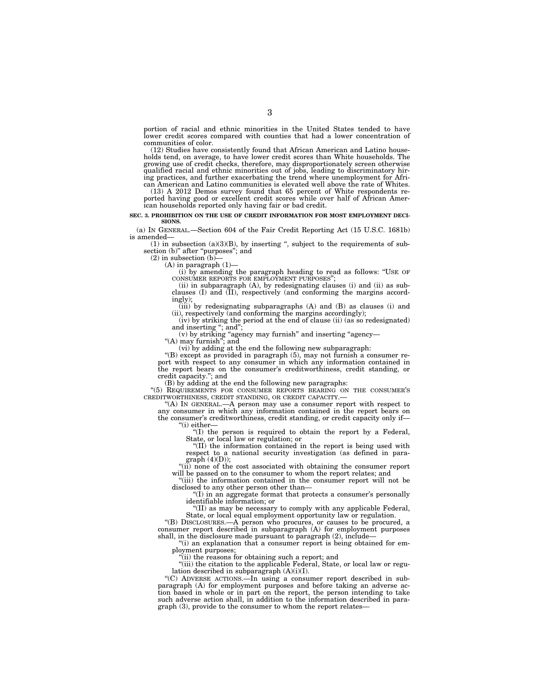portion of racial and ethnic minorities in the United States tended to have lower credit scores compared with counties that had a lower concentration of communities of color.

(12) Studies have consistently found that African American and Latino households tend, on average, to have lower credit scores than White households. The growing use of credit checks, therefore, may disproportionately screen otherwise qualified racial and ethnic minorities out of jobs, leading to discriminatory hir-ing practices, and further exacerbating the trend where unemployment for African American and Latino communities is elevated well above the rate of Whites.

(13) A 2012 Demos survey found that 65 percent of White respondents reported having good or excellent credit scores while over half of African American households reported only having fair or bad credit.

**SEC. 3. PROHIBITION ON THE USE OF CREDIT INFORMATION FOR MOST EMPLOYMENT DECI-SIONS.** 

(a) IN GENERAL.—Section 604 of the Fair Credit Reporting Act (15 U.S.C. 1681b) is amended—

(1) in subsection  $(a)(3)(B)$ , by inserting ", subject to the requirements of subsection  $(b)$ " after "purposes"; and

 $(2)$  in subsection  $(b)$ 

(A) in paragraph (1)—

(i) by amending the paragraph heading to read as follows: ''USE OF CONSUMER REPORTS FOR EMPLOYMENT PURPOSES'';

(ii) in subparagraph (A), by redesignating clauses (i) and (ii) as subclauses (I) and (II), respectively (and conforming the margins accordingly);

 $(iii)$  by redesignating subparagraphs  $(A)$  and  $(B)$  as clauses  $(i)$  and (ii), respectively (and conforming the margins accordingly);

(iv) by striking the period at the end of clause (ii) (as so redesignated) and inserting "; and";

(v) by striking ''agency may furnish'' and inserting ''agency—

''(A) may furnish''; and

(vi) by adding at the end the following new subparagraph:

''(B) except as provided in paragraph (5), may not furnish a consumer report with respect to any consumer in which any information contained in the report bears on the consumer's creditworthiness, credit standing, or credit capacity.''; and

(B) by adding at the end the following new paragraphs:

''(5) REQUIREMENTS FOR CONSUMER REPORTS BEARING ON THE CONSUMER'S

"(A) In GENERAL.—A person may use a consumer report with respect to any consumer in which any information contained in the report bears on the consumer's creditworthiness, credit standing, or credit capacity only if— ''(i) either—

''(I) the person is required to obtain the report by a Federal, State, or local law or regulation; or

''(II) the information contained in the report is being used with respect to a national security investigation (as defined in para $graph (4)(D));$ 

''(ii) none of the cost associated with obtaining the consumer report will be passed on to the consumer to whom the report relates; and

''(iii) the information contained in the consumer report will not be disclosed to any other person other than—

''(I) in an aggregate format that protects a consumer's personally identifiable information; or

''(II) as may be necessary to comply with any applicable Federal, State, or local equal employment opportunity law or regulation.

''(B) DISCLOSURES.—A person who procures, or causes to be procured, a consumer report described in subparagraph (A) for employment purposes shall, in the disclosure made pursuant to paragraph (2), include—<br>"(i) an explanation that a consumer report is being obtained for em-

ployment purposes;

''(ii) the reasons for obtaining such a report; and

"(iii) the citation to the applicable Federal, State, or local law or regulation described in subparagraph  $(A)(i)(I)$ .

''(C) ADVERSE ACTIONS.—In using a consumer report described in subparagraph (A) for employment purposes and before taking an adverse action based in whole or in part on the report, the person intending to take such adverse action shall, in addition to the information described in paragraph (3), provide to the consumer to whom the report relates—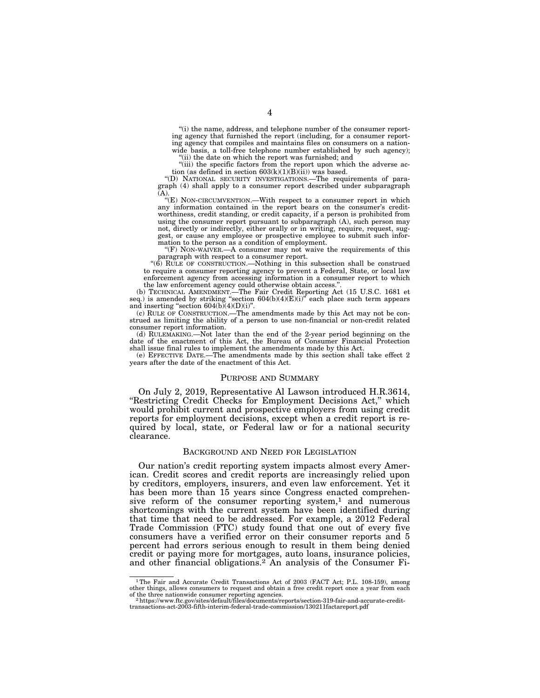"(i) the name, address, and telephone number of the consumer reporting agency that furnished the report (including, for a consumer reporting agency that compiles and maintains files on consumers on a nationwide basis, a toll-free telephone number established by such agency); "(ii) the date on which the report was furnished; and

"(iii) the specific factors from the report upon which the adverse action (as defined in section  $603(k)(1)(B)(ii)$ ) was based.

''(D) NATIONAL SECURITY INVESTIGATIONS.—The requirements of paragraph (4) shall apply to a consumer report described under subparagraph  $\check{A}$ ).

 $E(E)$  NON-CIRCUMVENTION.—With respect to a consumer report in which any information contained in the report bears on the consumer's creditworthiness, credit standing, or credit capacity, if a person is prohibited from using the consumer report pursuant to subparagraph (A), such person may not, directly or indirectly, either orally or in writing, require, request, suggest, or cause any employee or prospective employee to submit such information to the person as a condition of employment.

''(F) NON-WAIVER.—A consumer may not waive the requirements of this paragraph with respect to a consumer report.

"(6) RULE OF CONSTRUCTION.—Nothing in this subsection shall be construed to require a consumer reporting agency to prevent a Federal, State, or local law enforcement agency from accessing information in a consumer report to which the law enforcement agency could otherwise obtain access.''.

(b) TECHNICAL AMENDMENT.—The Fair Credit Reporting Act (15 U.S.C. 1681 et seq.) is amended by striking "section  $604(b)(4)(E)(i)$ " each place such term appears and inserting "section  $604(b)(4)(D)(i)$ ".

(c) RULE OF CONSTRUCTION.—The amendments made by this Act may not be construed as limiting the ability of a person to use non-financial or non-credit related consumer report information.

(d) RULEMAKING.—Not later than the end of the 2-year period beginning on the date of the enactment of this Act, the Bureau of Consumer Financial Protection shall issue final rules to implement the amendments made by this Act.

(e) EFFECTIVE DATE.—The amendments made by this section shall take effect 2 years after the date of the enactment of this Act.

### PURPOSE AND SUMMARY

On July 2, 2019, Representative Al Lawson introduced H.R.3614, "Restricting Credit Checks for Employment Decisions Act," which would prohibit current and prospective employers from using credit reports for employment decisions, except when a credit report is required by local, state, or Federal law or for a national security clearance.

### BACKGROUND AND NEED FOR LEGISLATION

Our nation's credit reporting system impacts almost every American. Credit scores and credit reports are increasingly relied upon by creditors, employers, insurers, and even law enforcement. Yet it has been more than 15 years since Congress enacted comprehensive reform of the consumer reporting system,<sup>1</sup> and numerous shortcomings with the current system have been identified during that time that need to be addressed. For example, a 2012 Federal Trade Commission (FTC) study found that one out of every five consumers have a verified error on their consumer reports and 5 percent had errors serious enough to result in them being denied credit or paying more for mortgages, auto loans, insurance policies, and other financial obligations.2 An analysis of the Consumer Fi-

<sup>1</sup>The Fair and Accurate Credit Transactions Act of 2003 (FACT Act; P.L. 108-159), among other things, allows consumers to request and obtain a free credit report once a year from each

of the three nationwide consumer reporting agencies.<br>- 2 https://www.ftc.gov/sites/default/files/documents/reports/section-319-fair-and-accurate-credit-<br>transactions-act-2003-fifth-interim-federal-trade-commission/130211fa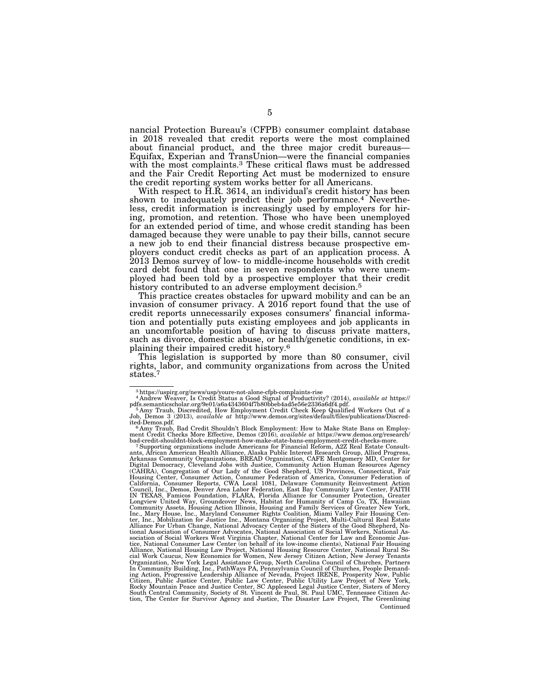nancial Protection Bureau's (CFPB) consumer complaint database in 2018 revealed that credit reports were the most complained about financial product, and the three major credit bureaus— Equifax, Experian and TransUnion—were the financial companies with the most complaints.<sup>3</sup> These critical flaws must be addressed and the Fair Credit Reporting Act must be modernized to ensure the credit reporting system works better for all Americans.

With respect to H.R. 3614, an individual's credit history has been shown to inadequately predict their job performance.<sup>4</sup> Nevertheless, credit information is increasingly used by employers for hiring, promotion, and retention. Those who have been unemployed for an extended period of time, and whose credit standing has been damaged because they were unable to pay their bills, cannot secure a new job to end their financial distress because prospective employers conduct credit checks as part of an application process. A 2013 Demos survey of low- to middle-income households with credit card debt found that one in seven respondents who were unemployed had been told by a prospective employer that their credit history contributed to an adverse employment decision.<sup>5</sup>

This practice creates obstacles for upward mobility and can be an invasion of consumer privacy. A 2016 report found that the use of credit reports unnecessarily exposes consumers' financial information and potentially puts existing employees and job applicants in an uncomfortable position of having to discuss private matters, such as divorce, domestic abuse, or health/genetic conditions, in explaining their impaired credit history.6

This legislation is supported by more than 80 consumer, civil rights, labor, and community organizations from across the United states.7

<sup>&</sup>lt;sup>3</sup>https://uspirg.org/news/usp/youre-not-alone-cfpb-complaints-rise<br>
<sup>4</sup> Andrew Weaver, Is Credit Status a Good Signal of Productivity? (2014), *available at* https://<br>
pdfs.semanticscholar.org/9e01/a6a4343604f7b80bbeb4ad

ited-Demos.pdf.<br><sup>6</sup> Amy Traub, Bad Credit Shouldn't Block Employment: How to Make State Bans on Employ-

ment Credit Checks More Effective, Demos (2016), *available at* https://www.demos.org/research/ bad-credit-shouldnt-block-employment-how-make-state-bans-employment-credit-checks-more. 7Supporting organizations include Americans for Financial Reform, A2Z Real Estate Consult-

ants, African American Health Alliance, Alaska Public Interest Research Group, Allied Progress, Arkansas Community Organizations, BREAD Organization, CAFE Montgomery MD, Center for Digital Democracy, Cleveland Jobs with Ju Council, Inc., Demos, Denver Area Labor Federation, East Bay Community Law Center, FAITH<br>IN TEXAS, Famicos Foundation, FLARA, Florida Alliance for Consumer Protection, Greater<br>Longview United Way, Groundcover News, Habitat ter, Inc., Mobilization for Justice Inc., Montana Organizing Project, Multi-Cultural Real Estate Alliance For Urban Change, National Advocacy Center of the Sisters of the Good Shepherd, National Association of Consumer Advocates, National Association of Social Workers, National As-<br>sociation of Social Workers West Virginia Chapter, National Center for Law and Economic Jus-<br>tice, National Consumer Law Center Alliance, National Housing Law Project, National Housing Resource Center, National Rural Social Work Caucus, New Economics for Women, New Jersey Citizen Action, New Jersey Tenants<br>Organization, New York Legal Assistance Gr Citizen, Public Justice Center, Public Law Center, Public Utility Law Project of New York,<br>Rocky Mountain Peace and Justice Center, SC Appleseed Legal Justice Center, Sisters of Mercy<br>South Central Community, Society of St tion, The Center for Survivor Agency and Justice, The Disaster Law Project, The Greenlining Continued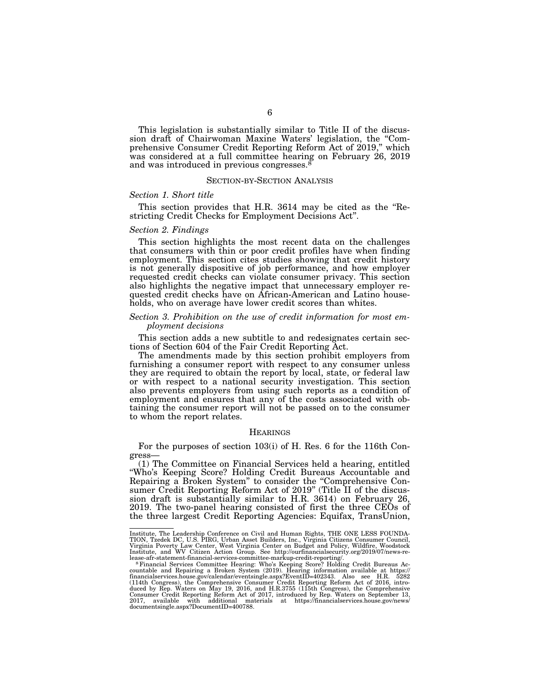This legislation is substantially similar to Title II of the discussion draft of Chairwoman Maxine Waters' legislation, the ''Comprehensive Consumer Credit Reporting Reform Act of 2019,'' which was considered at a full committee hearing on February 26, 2019 and was introduced in previous congresses.<sup>8</sup>

#### SECTION-BY-SECTION ANALYSIS

#### *Section 1. Short title*

This section provides that H.R. 3614 may be cited as the ''Restricting Credit Checks for Employment Decisions Act''.

#### *Section 2. Findings*

This section highlights the most recent data on the challenges that consumers with thin or poor credit profiles have when finding employment. This section cites studies showing that credit history is not generally dispositive of job performance, and how employer requested credit checks can violate consumer privacy. This section also highlights the negative impact that unnecessary employer requested credit checks have on African-American and Latino households, who on average have lower credit scores than whites.

## *Section 3. Prohibition on the use of credit information for most employment decisions*

This section adds a new subtitle to and redesignates certain sections of Section 604 of the Fair Credit Reporting Act.

The amendments made by this section prohibit employers from furnishing a consumer report with respect to any consumer unless they are required to obtain the report by local, state, or federal law or with respect to a national security investigation. This section also prevents employers from using such reports as a condition of employment and ensures that any of the costs associated with obtaining the consumer report will not be passed on to the consumer to whom the report relates.

### **HEARINGS**

For the purposes of section 103(i) of H. Res. 6 for the 116th Congress—

(1) The Committee on Financial Services held a hearing, entitled ''Who's Keeping Score? Holding Credit Bureaus Accountable and Repairing a Broken System'' to consider the ''Comprehensive Consumer Credit Reporting Reform Act of 2019" (Title II of the discussion draft is substantially similar to H.R. 3614) on February 26, 2019. The two-panel hearing consisted of first the three CEOs of the three largest Credit Reporting Agencies: Equifax, TransUnion,

Institute, The Leadership Conference on Civil and Human Rights, THE ONE LESS FOUNDA-<br>TION, Tzedek DC, U.S. PIRG, Urban Asset Builders, Inc., Virginia Citizens Consumer Council,<br>Virginia Poverty Law Center, West Virginia Ce

lease-afr-statement-financial-services-committee-markup-credit-reporting/.<br>
<sup>8</sup>Financial Services Committee-Hearing: Who's Keeping Score? Holding Credit Bureaus Ac-<br>
countable and Repairing a Broken System (2019). Hearing 2017, available with additional materials at https://financialservices.house.gov/news/ documentsingle.aspx?DocumentID=400788.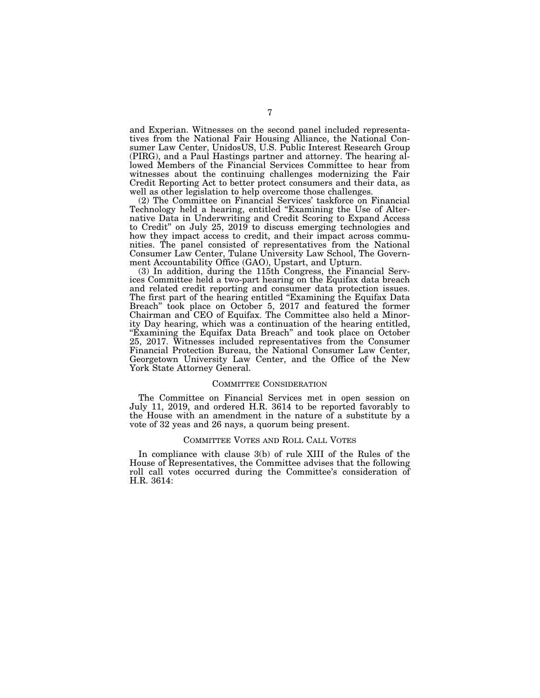and Experian. Witnesses on the second panel included representatives from the National Fair Housing Alliance, the National Consumer Law Center, UnidosUS, U.S. Public Interest Research Group (PIRG), and a Paul Hastings partner and attorney. The hearing allowed Members of the Financial Services Committee to hear from witnesses about the continuing challenges modernizing the Fair Credit Reporting Act to better protect consumers and their data, as well as other legislation to help overcome those challenges.

(2) The Committee on Financial Services' taskforce on Financial Technology held a hearing, entitled ''Examining the Use of Alternative Data in Underwriting and Credit Scoring to Expand Access to Credit'' on July 25, 2019 to discuss emerging technologies and how they impact access to credit, and their impact across communities. The panel consisted of representatives from the National Consumer Law Center, Tulane University Law School, The Government Accountability Office (GAO), Upstart, and Upturn.

(3) In addition, during the 115th Congress, the Financial Services Committee held a two-part hearing on the Equifax data breach and related credit reporting and consumer data protection issues. The first part of the hearing entitled ''Examining the Equifax Data Breach'' took place on October 5, 2017 and featured the former Chairman and CEO of Equifax. The Committee also held a Minority Day hearing, which was a continuation of the hearing entitled, "Examining the Equifax Data Breach" and took place on October 25, 2017. Witnesses included representatives from the Consumer Financial Protection Bureau, the National Consumer Law Center, Georgetown University Law Center, and the Office of the New York State Attorney General.

## COMMITTEE CONSIDERATION

The Committee on Financial Services met in open session on July 11, 2019, and ordered H.R. 3614 to be reported favorably to the House with an amendment in the nature of a substitute by a vote of 32 yeas and 26 nays, a quorum being present.

# COMMITTEE VOTES AND ROLL CALL VOTES

In compliance with clause 3(b) of rule XIII of the Rules of the House of Representatives, the Committee advises that the following roll call votes occurred during the Committee's consideration of H.R. 3614: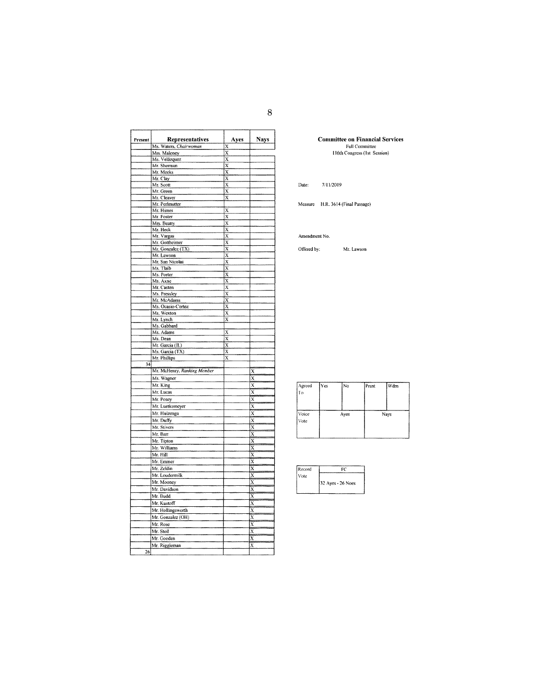| Present | Representatives             | Ayes                                               | <b>Nays</b>               |
|---------|-----------------------------|----------------------------------------------------|---------------------------|
|         | Ms. Waters, Chairwoman      | X                                                  |                           |
|         | Mrs. Maloney                | $\overline{\mathbf{x}}$                            |                           |
|         | Ms. Velázquez               | $\overline{\mathbf{x}}$                            |                           |
|         | Mr. Sherman                 | $\overline{\mathbf{x}}$                            |                           |
|         | Mr. Meeks                   | $\overline{\mathbf{x}}$                            |                           |
|         | Mr. Clay                    | $\overline{\mathbf{x}}$                            |                           |
|         | Mr. Scott                   | $\overline{\mathbf{x}}$<br>$\overline{\mathrm{x}}$ |                           |
|         | Mr. Green<br>Mr. Cleaver    | X                                                  |                           |
|         | Mr. Perlmutter              |                                                    |                           |
|         | Mr. Himes                   | $\overline{\mathbf{x}}$                            |                           |
|         | Mr. Foster                  | $\overline{\mathbf{x}}$                            |                           |
|         | Mrs. Beatty                 | $\overline{\mathsf{x}}$                            |                           |
|         | Mr. Heck                    | $\overline{\mathbf{x}}$                            |                           |
|         | Mr. Vargas                  |                                                    |                           |
|         | Mr. Gottheimer              | $\frac{\overline{x}}{\overline{x}}$                |                           |
|         | Mr. Gonzalez (TX)           | $\overline{\mathbf{x}}$                            |                           |
|         | Mr. Lawson                  | X                                                  |                           |
|         | Mr. San Nicolas             | $\overline{x}$                                     |                           |
|         | Ms. Tlaib                   | $\overline{\mathbf{x}}$                            |                           |
|         | Ms. Porter                  | $\frac{\overline{x}}{\overline{x}}$                |                           |
|         | Ms. Axne                    |                                                    |                           |
|         | Mr. Casten                  | $\overline{x}$                                     |                           |
|         | Ms. Pressley                | $\overline{\mathbf{x}}$                            |                           |
|         | Mr. McAdams                 | $\overline{\mathbf{x}}$                            |                           |
|         | Ms. Ocasio-Cortez           | $\overline{\mathbf{x}}$                            |                           |
|         | Ms. Wexton                  | $\bar{\mathrm{x}}$                                 |                           |
|         | Mr. Lynch                   | X                                                  |                           |
|         | Ms. Gabbard                 |                                                    |                           |
|         | Ms. Adams                   | X                                                  |                           |
|         | Ms. Dean                    | $\overline{\mathbf{x}}$                            |                           |
|         | Mr. Garcia (IL)             | $\overline{\mathbf{x}}$                            |                           |
|         | Ms. Garcia (TX)             | $\overline{\mathbf{x}}$                            |                           |
| 34      | Mr. Phillips                | $\overline{\mathbf{x}}$                            |                           |
|         | Mr. McHenry, Ranking Member |                                                    | X                         |
|         |                             |                                                    |                           |
|         | Ms. Wagner                  |                                                    | X                         |
|         | Mr. King                    |                                                    | X                         |
|         | Mr. Lucas                   |                                                    | X                         |
|         | Mr. Posey                   |                                                    | X                         |
|         | Mr. Luetkemeyer             |                                                    | X                         |
|         | Mr. Huizenga                |                                                    | X                         |
|         | Mr. Duffy                   |                                                    | Х                         |
|         | Mr. Stivers                 |                                                    | X                         |
|         | Mr. Barr                    |                                                    | $\overline{\mathbf{x}}$   |
|         | Mr. Tipton                  |                                                    | X                         |
|         | Mr. Williams                |                                                    | X                         |
|         | Mr. Hill                    |                                                    | $\overline{\mathbf{x}}$   |
|         | Mr. Emmer                   |                                                    | X                         |
|         | Mr. Zeldin                  |                                                    | х                         |
|         | Mr. Loudermilk              |                                                    | X                         |
|         | Mr. Mooney                  |                                                    | X                         |
|         | Mr. Davidson                |                                                    | X                         |
|         | Mr. Budd                    |                                                    | $\boldsymbol{\mathsf{x}}$ |
|         | Mr. Kustoff                 |                                                    |                           |
|         |                             |                                                    | X                         |
|         | Mr. Hollingsworth           |                                                    | X                         |
|         | Mr. Gonzalez (OH)           |                                                    | X                         |
|         | Mr. Rose                    |                                                    | $\overline{\mathbf{x}}$   |
|         | Mr. Steil                   |                                                    | X                         |
|         | Mr. Gooden                  |                                                    | $\overline{\mathbf{x}}$   |
|         | Mr. Riggleman               |                                                    | $\overline{\mathbf{x}}$   |
| 26      |                             |                                                    |                           |

**Committee on Financial Services** Full Committee<br>
116th Congress (1st Session)

7/11/2019 Date:

Measure H.R. 3614 (Final Passage)

Amendment No.

Offered by: Mr. Lawson

| paanneme<br>Agreed<br>Ťo | Yes | No   | Prsnt | Wdrn |
|--------------------------|-----|------|-------|------|
| Voice<br>Vote            |     | Ayes |       | Nays |

| Record |                   |  |
|--------|-------------------|--|
| Vote   |                   |  |
|        | 32 Ayes - 26 Noes |  |
|        |                   |  |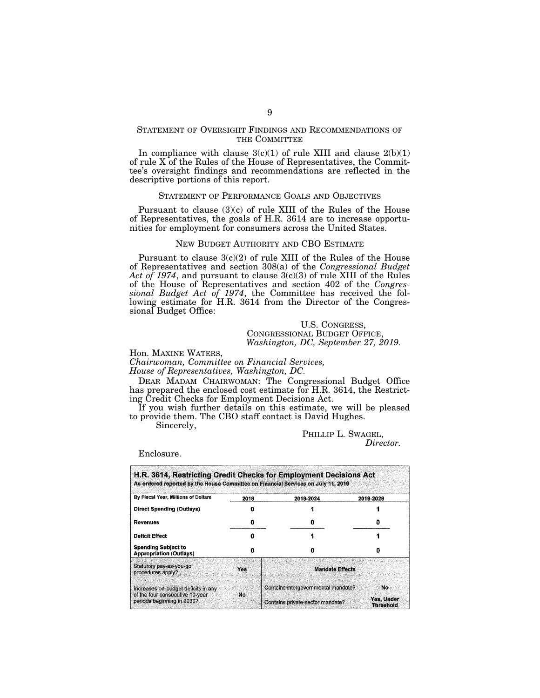# STATEMENT OF OVERSIGHT FINDINGS AND RECOMMENDATIONS OF THE COMMITTEE

In compliance with clause  $3(c)(1)$  of rule XIII and clause  $2(b)(1)$ of rule  $X$  of the Rules of the House of Representatives, the Committee's oversight findings and recommendations are reflected in the descriptive portions of this report.

# STATEMENT OF PERFORMANCE GOALS AND OBJECTIVES

Pursuant to clause  $(3)(c)$  of rule XIII of the Rules of the House of Representatives, the goals of H.R. 3614 are to increase opportunities for employment for consumers across the United States.

#### NEW BUDGET AUTHORITY AND CBO ESTIMATE

Pursuant to clause  $3(c)(2)$  of rule XIII of the Rules of the House of Representatives and section 308(a) of the *Congressional Budget*  Act of 1974, and pursuant to clause  $3(c)(3)$  of rule XIII of the Rules of the House of Representatives and section 402 of the *Congressional Budget Act of 1974*, the Committee has received the following estimate for H.R. 3614 from the Director of the Congressional Budget Office:

# U.S. CONGRESS, CONGRESSIONAL BUDGET OFFICE, *Washington, DC, September 27, 2019.*

Hon. MAXINE WATERS,

*Chairwoman, Committee on Financial Services, House of Representatives, Washington, DC.* 

DEAR MADAM CHAIRWOMAN: The Congressional Budget Office has prepared the enclosed cost estimate for H.R. 3614, the Restricting Credit Checks for Employment Decisions Act.

If you wish further details on this estimate, we will be pleased to provide them. The CBO staff contact is David Hughes.

Sincerely,

PHILLIP L. SWAGEL, *Director.* 

Enclosure.

| By Fiscal Year, Millions of Dollars                           | 2019 | 2019-2024                           | 2019-2029                      |
|---------------------------------------------------------------|------|-------------------------------------|--------------------------------|
| <b>Direct Spending (Outlays)</b>                              |      |                                     |                                |
| <b>Revenues</b>                                               |      |                                     |                                |
| <b>Deficit Effect</b>                                         |      |                                     |                                |
| <b>Spending Subject to</b><br><b>Appropriation (Outlays)</b>  |      |                                     | O                              |
| Statutory pay-as-you-go<br>procedures apply?                  | Yes  | <b>Mandate Effects</b>              |                                |
| Increases on-budget deficits in any                           |      | Contains intergovernmental mandate? | No.                            |
| of the four consecutive 10-year<br>periods beginning in 2030? | No.  | Contains private-sector mandate?    | Yes. Under<br><b>Threshold</b> |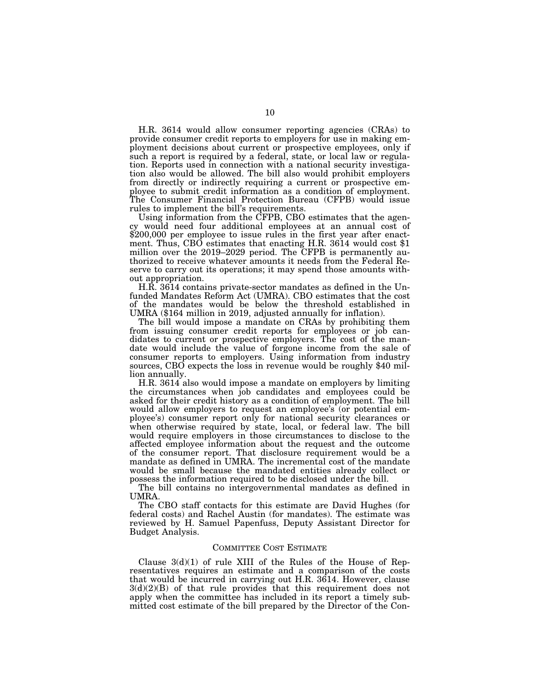H.R. 3614 would allow consumer reporting agencies (CRAs) to provide consumer credit reports to employers for use in making employment decisions about current or prospective employees, only if such a report is required by a federal, state, or local law or regulation. Reports used in connection with a national security investigation also would be allowed. The bill also would prohibit employers from directly or indirectly requiring a current or prospective employee to submit credit information as a condition of employment. The Consumer Financial Protection Bureau (CFPB) would issue rules to implement the bill's requirements.

Using information from the CFPB, CBO estimates that the agency would need four additional employees at an annual cost of \$200,000 per employee to issue rules in the first year after enactment. Thus, CBO estimates that enacting H.R. 3614 would cost \$1 million over the 2019–2029 period. The CFPB is permanently authorized to receive whatever amounts it needs from the Federal Reserve to carry out its operations; it may spend those amounts without appropriation.

H.R. 3614 contains private-sector mandates as defined in the Unfunded Mandates Reform Act (UMRA). CBO estimates that the cost of the mandates would be below the threshold established in UMRA (\$164 million in 2019, adjusted annually for inflation).

The bill would impose a mandate on CRAs by prohibiting them from issuing consumer credit reports for employees or job candidates to current or prospective employers. The cost of the mandate would include the value of forgone income from the sale of consumer reports to employers. Using information from industry sources, CBO expects the loss in revenue would be roughly \$40 million annually.

H.R. 3614 also would impose a mandate on employers by limiting the circumstances when job candidates and employees could be asked for their credit history as a condition of employment. The bill would allow employers to request an employee's (or potential employee's) consumer report only for national security clearances or when otherwise required by state, local, or federal law. The bill would require employers in those circumstances to disclose to the affected employee information about the request and the outcome of the consumer report. That disclosure requirement would be a mandate as defined in UMRA. The incremental cost of the mandate would be small because the mandated entities already collect or possess the information required to be disclosed under the bill.

The bill contains no intergovernmental mandates as defined in UMRA.

The CBO staff contacts for this estimate are David Hughes (for federal costs) and Rachel Austin (for mandates). The estimate was reviewed by H. Samuel Papenfuss, Deputy Assistant Director for Budget Analysis.

# COMMITTEE COST ESTIMATE

Clause  $3(d)(1)$  of rule XIII of the Rules of the House of Representatives requires an estimate and a comparison of the costs that would be incurred in carrying out H.R. 3614. However, clause  $3(d)(2)(B)$  of that rule provides that this requirement does not apply when the committee has included in its report a timely submitted cost estimate of the bill prepared by the Director of the Con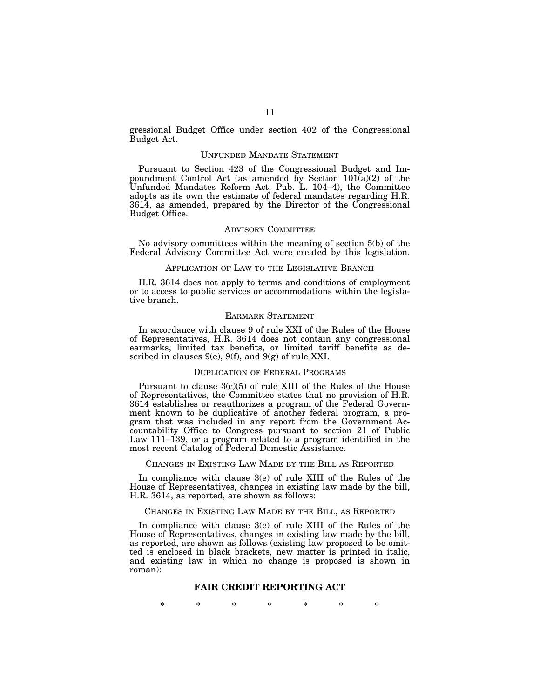gressional Budget Office under section 402 of the Congressional Budget Act.

### UNFUNDED MANDATE STATEMENT

Pursuant to Section 423 of the Congressional Budget and Impoundment Control Act (as amended by Section  $101(a)(2)$  of the Unfunded Mandates Reform Act, Pub. L. 104–4), the Committee adopts as its own the estimate of federal mandates regarding H.R. 3614, as amended, prepared by the Director of the Congressional Budget Office.

#### ADVISORY COMMITTEE

No advisory committees within the meaning of section 5(b) of the Federal Advisory Committee Act were created by this legislation.

## APPLICATION OF LAW TO THE LEGISLATIVE BRANCH

H.R. 3614 does not apply to terms and conditions of employment or to access to public services or accommodations within the legislative branch.

# EARMARK STATEMENT

In accordance with clause 9 of rule XXI of the Rules of the House of Representatives, H.R. 3614 does not contain any congressional earmarks, limited tax benefits, or limited tariff benefits as described in clauses  $9(e)$ ,  $9(f)$ , and  $9(g)$  of rule XXI.

## DUPLICATION OF FEDERAL PROGRAMS

Pursuant to clause  $3(c)(5)$  of rule XIII of the Rules of the House of Representatives, the Committee states that no provision of H.R. 3614 establishes or reauthorizes a program of the Federal Government known to be duplicative of another federal program, a program that was included in any report from the Government Accountability Office to Congress pursuant to section 21 of Public Law 111–139, or a program related to a program identified in the most recent Catalog of Federal Domestic Assistance.

### CHANGES IN EXISTING LAW MADE BY THE BILL AS REPORTED

In compliance with clause 3(e) of rule XIII of the Rules of the House of Representatives, changes in existing law made by the bill, H.R. 3614, as reported, are shown as follows:

## CHANGES IN EXISTING LAW MADE BY THE BILL, AS REPORTED

In compliance with clause 3(e) of rule XIII of the Rules of the House of Representatives, changes in existing law made by the bill, as reported, are shown as follows (existing law proposed to be omitted is enclosed in black brackets, new matter is printed in italic, and existing law in which no change is proposed is shown in roman):

# **FAIR CREDIT REPORTING ACT**

\* \* \* \* \* \* \*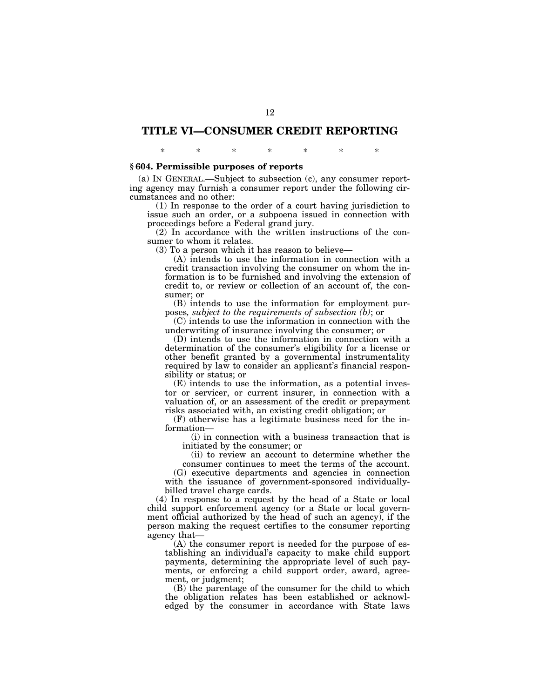# **TITLE VI—CONSUMER CREDIT REPORTING**

\* \* \* \* \* \* \*

# **§ 604. Permissible purposes of reports**

(a) IN GENERAL.—Subject to subsection (c), any consumer reporting agency may furnish a consumer report under the following circumstances and no other:

(1) In response to the order of a court having jurisdiction to issue such an order, or a subpoena issued in connection with proceedings before a Federal grand jury.

(2) In accordance with the written instructions of the consumer to whom it relates.

(3) To a person which it has reason to believe—

(A) intends to use the information in connection with a credit transaction involving the consumer on whom the information is to be furnished and involving the extension of credit to, or review or collection of an account of, the consumer; or

(B) intends to use the information for employment purposes*, subject to the requirements of subsection (b)*; or

(C) intends to use the information in connection with the underwriting of insurance involving the consumer; or

(D) intends to use the information in connection with a determination of the consumer's eligibility for a license or other benefit granted by a governmental instrumentality required by law to consider an applicant's financial responsibility or status; or

(E) intends to use the information, as a potential investor or servicer, or current insurer, in connection with a valuation of, or an assessment of the credit or prepayment risks associated with, an existing credit obligation; or

(F) otherwise has a legitimate business need for the information—

(i) in connection with a business transaction that is initiated by the consumer; or

(ii) to review an account to determine whether the consumer continues to meet the terms of the account.

(G) executive departments and agencies in connection with the issuance of government-sponsored individuallybilled travel charge cards.

(4) In response to a request by the head of a State or local child support enforcement agency (or a State or local government official authorized by the head of such an agency), if the person making the request certifies to the consumer reporting agency that—

(A) the consumer report is needed for the purpose of establishing an individual's capacity to make child support payments, determining the appropriate level of such payments, or enforcing a child support order, award, agreement, or judgment;

(B) the parentage of the consumer for the child to which the obligation relates has been established or acknowledged by the consumer in accordance with State laws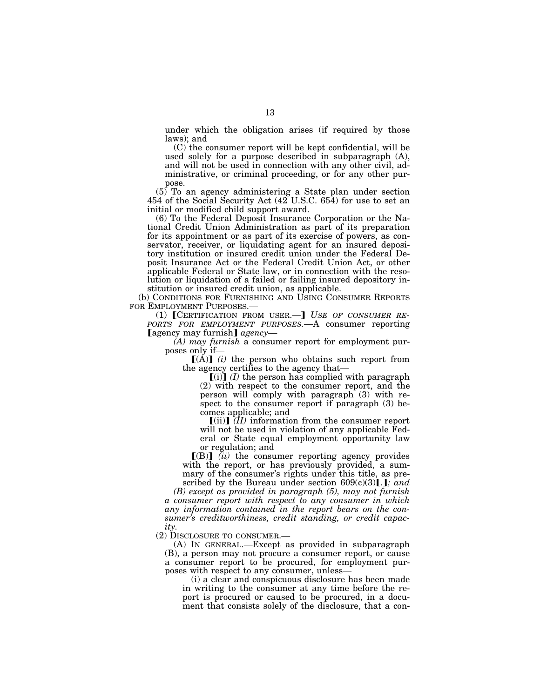under which the obligation arises (if required by those laws); and

(C) the consumer report will be kept confidential, will be used solely for a purpose described in subparagraph (A), and will not be used in connection with any other civil, administrative, or criminal proceeding, or for any other purpose.

(5) To an agency administering a State plan under section 454 of the Social Security Act (42 U.S.C. 654) for use to set an initial or modified child support award.

(6) To the Federal Deposit Insurance Corporation or the National Credit Union Administration as part of its preparation for its appointment or as part of its exercise of powers, as conservator, receiver, or liquidating agent for an insured depository institution or insured credit union under the Federal Deposit Insurance Act or the Federal Credit Union Act, or other applicable Federal or State law, or in connection with the resolution or liquidation of a failed or failing insured depository institution or insured credit union, as applicable.

(b) CONDITIONS FOR FURNISHING AND USING CONSUMER REPORTS

FOR EMPLOYMENT PURPOSES.—<br>
(1) CERTIFICATION FROM USER.—] *USE OF CONSUMER RE-*<br> *PORTS FOR EMPLOYMENT PURPOSES.*—A consumer reporting [agency may furnish] *agency*-

> *(A) may furnish* a consumer report for employment purposes only if—

 $[(A)]$  *(i)* the person who obtains such report from the agency certifies to the agency that—

 $(i)$  *(I)* the person has complied with paragraph (2) with respect to the consumer report, and the person will comply with paragraph (3) with respect to the consumer report if paragraph (3) becomes applicable; and

 $\left[\text{(ii)}\right]$  *(II)* information from the consumer report will not be used in violation of any applicable Federal or State equal employment opportunity law or regulation; and

 $[(B)]$   $(ii)$  the consumer reporting agency provides with the report, or has previously provided, a summary of the consumer's rights under this title, as pre-

scribed by the Bureau under section  $609(c)(3)[.]$ ; and *(B) except as provided in paragraph (5), may not furnish a consumer report with respect to any consumer in which any information contained in the report bears on the consumer's creditworthiness, credit standing, or credit capacity.* 

(2) DISCLOSURE TO CONSUMER.—

(A) IN GENERAL.—Except as provided in subparagraph (B), a person may not procure a consumer report, or cause a consumer report to be procured, for employment purposes with respect to any consumer, unless—

(i) a clear and conspicuous disclosure has been made in writing to the consumer at any time before the report is procured or caused to be procured, in a document that consists solely of the disclosure, that a con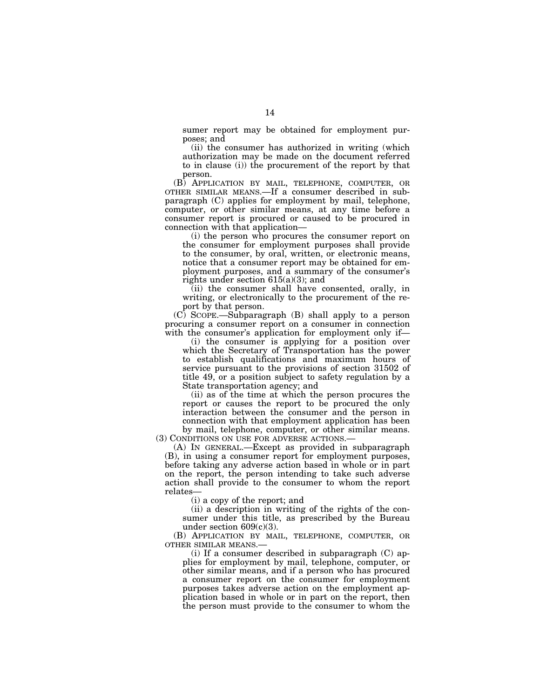sumer report may be obtained for employment purposes; and

(ii) the consumer has authorized in writing (which authorization may be made on the document referred to in clause (i)) the procurement of the report by that person.

(B) APPLICATION BY MAIL, TELEPHONE, COMPUTER, OR OTHER SIMILAR MEANS.—If a consumer described in subparagraph (C) applies for employment by mail, telephone, computer, or other similar means, at any time before a consumer report is procured or caused to be procured in connection with that application—

(i) the person who procures the consumer report on the consumer for employment purposes shall provide to the consumer, by oral, written, or electronic means, notice that a consumer report may be obtained for employment purposes, and a summary of the consumer's rights under section  $615(a)(3)$ ; and

(ii) the consumer shall have consented, orally, in writing, or electronically to the procurement of the report by that person.

(C) SCOPE.—Subparagraph (B) shall apply to a person procuring a consumer report on a consumer in connection with the consumer's application for employment only if—

(i) the consumer is applying for a position over which the Secretary of Transportation has the power to establish qualifications and maximum hours of service pursuant to the provisions of section 31502 of title 49, or a position subject to safety regulation by a State transportation agency; and

(ii) as of the time at which the person procures the report or causes the report to be procured the only interaction between the consumer and the person in connection with that employment application has been by mail, telephone, computer, or other similar means.<br>(3) CONDITIONS ON USE FOR ADVERSE ACTIONS.—

 $(A)$  In GENERAL.—Except as provided in subparagraph (B), in using a consumer report for employment purposes, before taking any adverse action based in whole or in part on the report, the person intending to take such adverse

action shall provide to the consumer to whom the report relates—

(i) a copy of the report; and

(ii) a description in writing of the rights of the consumer under this title, as prescribed by the Bureau under section  $609(c)(3)$ .

(B) APPLICATION BY MAIL, TELEPHONE, COMPUTER, OR OTHER SIMILAR MEANS.—

(i) If a consumer described in subparagraph (C) applies for employment by mail, telephone, computer, or other similar means, and if a person who has procured a consumer report on the consumer for employment purposes takes adverse action on the employment application based in whole or in part on the report, then the person must provide to the consumer to whom the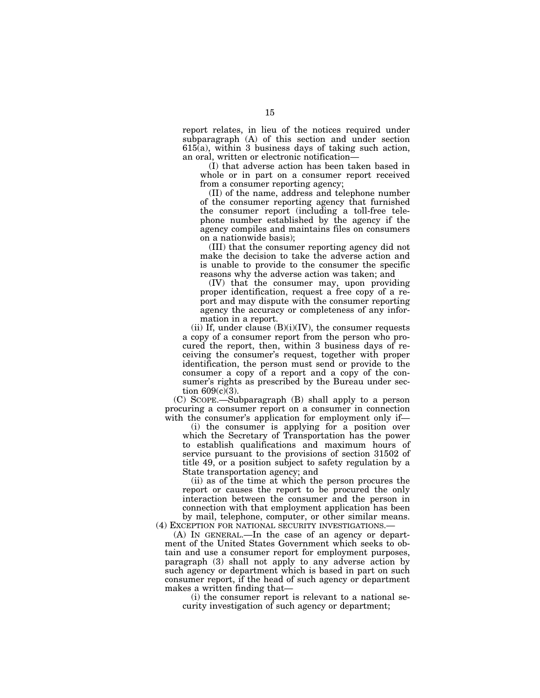report relates, in lieu of the notices required under subparagraph (A) of this section and under section 615(a), within 3 business days of taking such action, an oral, written or electronic notification—

(I) that adverse action has been taken based in whole or in part on a consumer report received from a consumer reporting agency;

(II) of the name, address and telephone number of the consumer reporting agency that furnished the consumer report (including a toll-free telephone number established by the agency if the agency compiles and maintains files on consumers on a nationwide basis);

(III) that the consumer reporting agency did not make the decision to take the adverse action and is unable to provide to the consumer the specific reasons why the adverse action was taken; and

(IV) that the consumer may, upon providing proper identification, request a free copy of a report and may dispute with the consumer reporting agency the accuracy or completeness of any information in a report.

(ii) If, under clause  $(B)(i)(IV)$ , the consumer requests a copy of a consumer report from the person who procured the report, then, within 3 business days of receiving the consumer's request, together with proper identification, the person must send or provide to the consumer a copy of a report and a copy of the consumer's rights as prescribed by the Bureau under section  $609(c)(3)$ .

(C) SCOPE.—Subparagraph (B) shall apply to a person procuring a consumer report on a consumer in connection with the consumer's application for employment only if—

(i) the consumer is applying for a position over which the Secretary of Transportation has the power to establish qualifications and maximum hours of service pursuant to the provisions of section 31502 of title 49, or a position subject to safety regulation by a State transportation agency; and

(ii) as of the time at which the person procures the report or causes the report to be procured the only interaction between the consumer and the person in connection with that employment application has been by mail, telephone, computer, or other similar means.

(4) EXCEPTION FOR NATIONAL SECURITY INVESTIGATIONS.—

(A) IN GENERAL.—In the case of an agency or department of the United States Government which seeks to obtain and use a consumer report for employment purposes, paragraph (3) shall not apply to any adverse action by such agency or department which is based in part on such consumer report, if the head of such agency or department makes a written finding that—

(i) the consumer report is relevant to a national security investigation of such agency or department;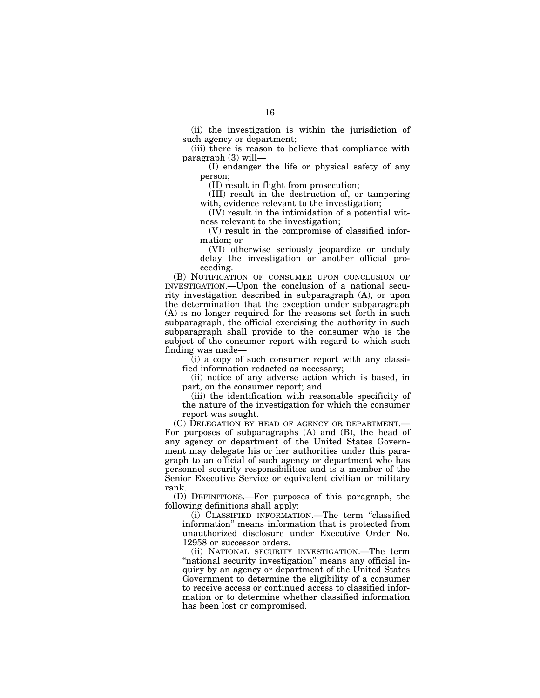(ii) the investigation is within the jurisdiction of such agency or department;

(iii) there is reason to believe that compliance with paragraph (3) will—

(I) endanger the life or physical safety of any person;

(II) result in flight from prosecution;

(III) result in the destruction of, or tampering with, evidence relevant to the investigation;

(IV) result in the intimidation of a potential witness relevant to the investigation;

(V) result in the compromise of classified information; or

(VI) otherwise seriously jeopardize or unduly delay the investigation or another official proceeding.

(B) NOTIFICATION OF CONSUMER UPON CONCLUSION OF INVESTIGATION.—Upon the conclusion of a national security investigation described in subparagraph (A), or upon the determination that the exception under subparagraph (A) is no longer required for the reasons set forth in such subparagraph, the official exercising the authority in such subparagraph shall provide to the consumer who is the subject of the consumer report with regard to which such finding was made—

(i) a copy of such consumer report with any classified information redacted as necessary;

(ii) notice of any adverse action which is based, in part, on the consumer report; and

(iii) the identification with reasonable specificity of the nature of the investigation for which the consumer report was sought.

(C) DELEGATION BY HEAD OF AGENCY OR DEPARTMENT.— For purposes of subparagraphs (A) and (B), the head of any agency or department of the United States Government may delegate his or her authorities under this paragraph to an official of such agency or department who has personnel security responsibilities and is a member of the Senior Executive Service or equivalent civilian or military rank.

(D) DEFINITIONS.—For purposes of this paragraph, the following definitions shall apply:

(i) CLASSIFIED INFORMATION.—The term ''classified information'' means information that is protected from unauthorized disclosure under Executive Order No. 12958 or successor orders.

(ii) NATIONAL SECURITY INVESTIGATION.—The term "national security investigation" means any official inquiry by an agency or department of the United States Government to determine the eligibility of a consumer to receive access or continued access to classified information or to determine whether classified information has been lost or compromised.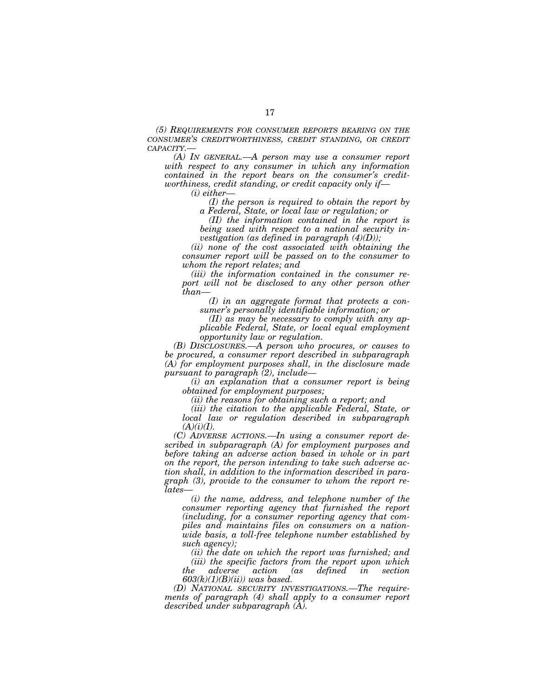*(5) REQUIREMENTS FOR CONSUMER REPORTS BEARING ON THE CONSUMER'S CREDITWORTHINESS, CREDIT STANDING, OR CREDIT CAPACITY.—* 

*(A) IN GENERAL.—A person may use a consumer report with respect to any consumer in which any information contained in the report bears on the consumer's creditworthiness, credit standing, or credit capacity only if—* 

*(i) either—* 

*(I) the person is required to obtain the report by a Federal, State, or local law or regulation; or* 

*(II) the information contained in the report is being used with respect to a national security investigation (as defined in paragraph (4)(D));* 

*(ii) none of the cost associated with obtaining the consumer report will be passed on to the consumer to whom the report relates; and* 

*(iii) the information contained in the consumer re*port will not be disclosed to any other person other *than—* 

*(I) in an aggregate format that protects a consumer's personally identifiable information; or* 

*(II) as may be necessary to comply with any applicable Federal, State, or local equal employment opportunity law or regulation.* 

*(B) DISCLOSURES.—A person who procures, or causes to be procured, a consumer report described in subparagraph (A) for employment purposes shall, in the disclosure made pursuant to paragraph (2), include—* 

*(i) an explanation that a consumer report is being obtained for employment purposes;* 

*(ii) the reasons for obtaining such a report; and* 

*(iii) the citation to the applicable Federal, State, or local law or regulation described in subparagraph*   $(A)(i)(I)$ .

*(C) ADVERSE ACTIONS.—In using a consumer report described in subparagraph (A) for employment purposes and before taking an adverse action based in whole or in part on the report, the person intending to take such adverse action shall, in addition to the information described in paragraph (3), provide to the consumer to whom the report relates—* 

*(i) the name, address, and telephone number of the consumer reporting agency that furnished the report (including, for a consumer reporting agency that compiles and maintains files on consumers on a nationwide basis, a toll-free telephone number established by such agency);* 

*(ii) the date on which the report was furnished; and* 

*(iii) the specific factors from the report upon which the adverse action (as defined in section 603(k)(1)(B)(ii)) was based.* 

*(D) NATIONAL SECURITY INVESTIGATIONS.—The requirements of paragraph (4) shall apply to a consumer report described under subparagraph (A).*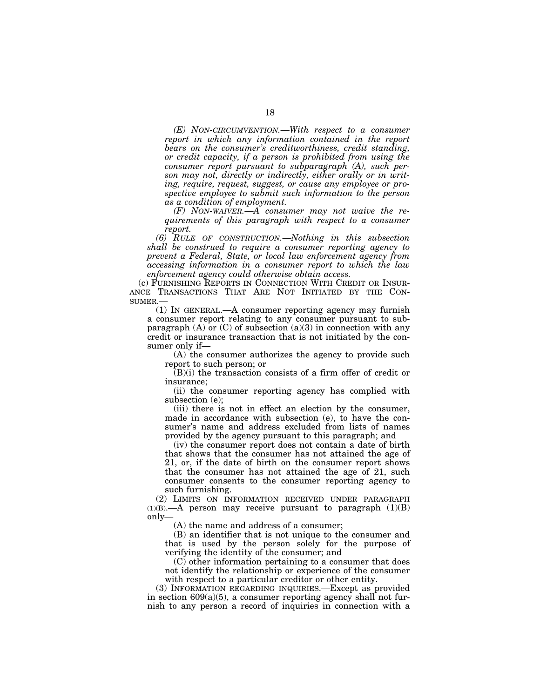*(E) NON-CIRCUMVENTION.—With respect to a consumer report in which any information contained in the report bears on the consumer's creditworthiness, credit standing, or credit capacity, if a person is prohibited from using the consumer report pursuant to subparagraph (A), such person may not, directly or indirectly, either orally or in writing, require, request, suggest, or cause any employee or prospective employee to submit such information to the person as a condition of employment.* 

*(F) NON-WAIVER.—A consumer may not waive the requirements of this paragraph with respect to a consumer report.* 

*(6) RULE OF CONSTRUCTION.—Nothing in this subsection shall be construed to require a consumer reporting agency to prevent a Federal, State, or local law enforcement agency from accessing information in a consumer report to which the law enforcement agency could otherwise obtain access.* 

(c) FURNISHING REPORTS IN CONNECTION WITH CREDIT OR INSUR-ANCE TRANSACTIONS THAT ARE NOT INITIATED BY THE CON-SUMER.—

(1) IN GENERAL.—A consumer reporting agency may furnish a consumer report relating to any consumer pursuant to subparagraph (A) or  $(C)$  of subsection (a)(3) in connection with any credit or insurance transaction that is not initiated by the consumer only if—

(A) the consumer authorizes the agency to provide such report to such person; or

(B)(i) the transaction consists of a firm offer of credit or insurance;

(ii) the consumer reporting agency has complied with subsection (e);

(iii) there is not in effect an election by the consumer, made in accordance with subsection (e), to have the consumer's name and address excluded from lists of names provided by the agency pursuant to this paragraph; and

(iv) the consumer report does not contain a date of birth that shows that the consumer has not attained the age of 21, or, if the date of birth on the consumer report shows that the consumer has not attained the age of 21, such consumer consents to the consumer reporting agency to such furnishing.

(2) LIMITS ON INFORMATION RECEIVED UNDER PARAGRAPH  $(1)(B)$ .—A person may receive pursuant to paragraph  $(1)(B)$ only—

(A) the name and address of a consumer;

(B) an identifier that is not unique to the consumer and that is used by the person solely for the purpose of verifying the identity of the consumer; and

(C) other information pertaining to a consumer that does not identify the relationship or experience of the consumer with respect to a particular creditor or other entity.

(3) INFORMATION REGARDING INQUIRIES.—Except as provided in section  $609(a)(5)$ , a consumer reporting agency shall not furnish to any person a record of inquiries in connection with a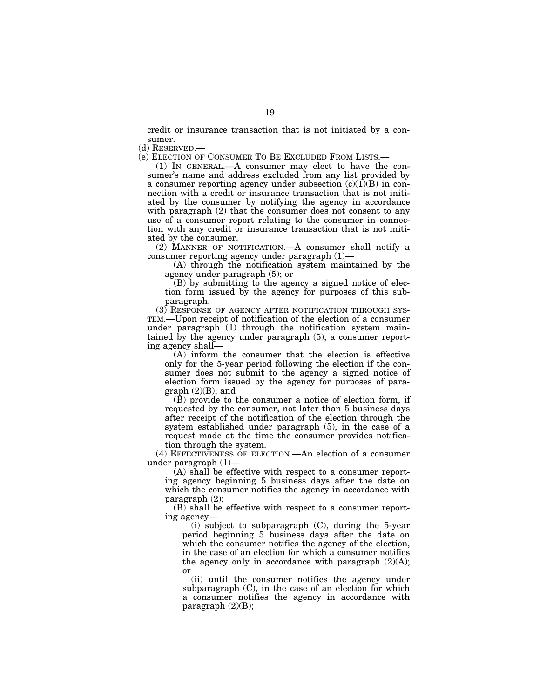credit or insurance transaction that is not initiated by a consumer.

(d) RESERVED.—

(e) ELECTION OF CONSUMER TO BE EXCLUDED FROM LISTS.—

(1) IN GENERAL.—A consumer may elect to have the consumer's name and address excluded from any list provided by a consumer reporting agency under subsection  $(c)(1)(B)$  in connection with a credit or insurance transaction that is not initiated by the consumer by notifying the agency in accordance with paragraph (2) that the consumer does not consent to any use of a consumer report relating to the consumer in connection with any credit or insurance transaction that is not initiated by the consumer.

(2) MANNER OF NOTIFICATION.—A consumer shall notify a consumer reporting agency under paragraph (1)—

(A) through the notification system maintained by the agency under paragraph (5); or

(B) by submitting to the agency a signed notice of election form issued by the agency for purposes of this subparagraph.

(3) RESPONSE OF AGENCY AFTER NOTIFICATION THROUGH SYS-TEM.—Upon receipt of notification of the election of a consumer under paragraph (1) through the notification system maintained by the agency under paragraph (5), a consumer reporting agency shall—

(A) inform the consumer that the election is effective only for the 5-year period following the election if the consumer does not submit to the agency a signed notice of election form issued by the agency for purposes of paragraph  $(2)(B)$ ; and

(B) provide to the consumer a notice of election form, if requested by the consumer, not later than 5 business days after receipt of the notification of the election through the system established under paragraph (5), in the case of a request made at the time the consumer provides notification through the system.

(4) EFFECTIVENESS OF ELECTION.—An election of a consumer under paragraph (1)—

(A) shall be effective with respect to a consumer reporting agency beginning 5 business days after the date on which the consumer notifies the agency in accordance with paragraph (2);

(B) shall be effective with respect to a consumer reporting agency—

(i) subject to subparagraph (C), during the 5-year period beginning 5 business days after the date on which the consumer notifies the agency of the election, in the case of an election for which a consumer notifies the agency only in accordance with paragraph  $(2)(A)$ ; or

(ii) until the consumer notifies the agency under subparagraph (C), in the case of an election for which a consumer notifies the agency in accordance with paragraph  $(2)(B)$ ;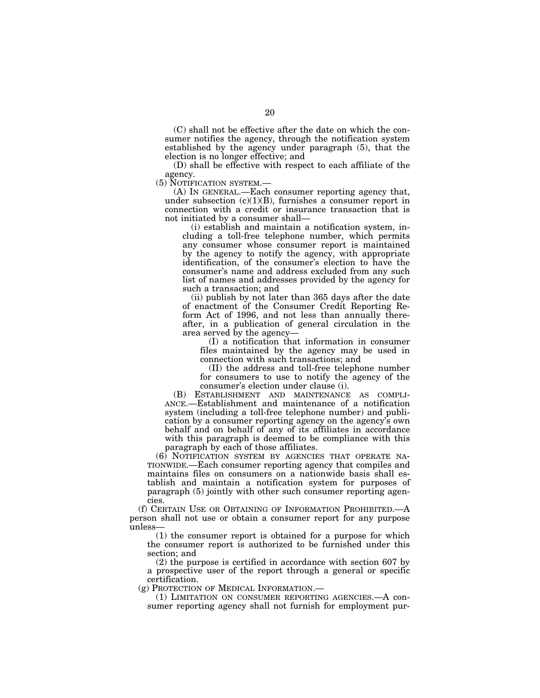(C) shall not be effective after the date on which the consumer notifies the agency, through the notification system established by the agency under paragraph (5), that the election is no longer effective; and

(D) shall be effective with respect to each affiliate of the agency.<br>(5) NOTIFICATION SYSTEM.—

 $(A)$  In GENERAL.—Each consumer reporting agency that, under subsection  $(c)(1)(B)$ , furnishes a consumer report in connection with a credit or insurance transaction that is not initiated by a consumer shall—

(i) establish and maintain a notification system, including a toll-free telephone number, which permits any consumer whose consumer report is maintained by the agency to notify the agency, with appropriate identification, of the consumer's election to have the consumer's name and address excluded from any such list of names and addresses provided by the agency for such a transaction; and

(ii) publish by not later than 365 days after the date of enactment of the Consumer Credit Reporting Reform Act of 1996, and not less than annually thereafter, in a publication of general circulation in the area served by the agency—

(I) a notification that information in consumer files maintained by the agency may be used in connection with such transactions; and

(II) the address and toll-free telephone number for consumers to use to notify the agency of the consumer's election under clause (i).

(B) ESTABLISHMENT AND MAINTENANCE AS COMPLI-ANCE.—Establishment and maintenance of a notification system (including a toll-free telephone number) and publication by a consumer reporting agency on the agency's own behalf and on behalf of any of its affiliates in accordance with this paragraph is deemed to be compliance with this paragraph by each of those affiliates.<br>(6) NOTIFICATION SYSTEM BY AGENCIES THAT OPERATE NA-

TIONWIDE.—Each consumer reporting agency that compiles and maintains files on consumers on a nationwide basis shall establish and maintain a notification system for purposes of paragraph (5) jointly with other such consumer reporting agencies.

(f) CERTAIN USE OR OBTAINING OF INFORMATION PROHIBITED.—A person shall not use or obtain a consumer report for any purpose unless—

(1) the consumer report is obtained for a purpose for which the consumer report is authorized to be furnished under this section; and

(2) the purpose is certified in accordance with section 607 by a prospective user of the report through a general or specific certification.

(g) PROTECTION OF MEDICAL INFORMATION.—

(1) LIMITATION ON CONSUMER REPORTING AGENCIES.—A consumer reporting agency shall not furnish for employment pur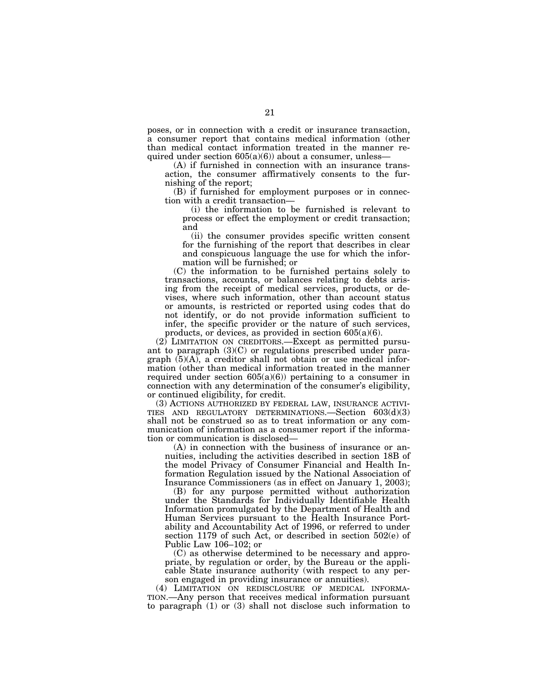poses, or in connection with a credit or insurance transaction, a consumer report that contains medical information (other than medical contact information treated in the manner required under section  $605(a)(6)$  about a consumer, unless-

(A) if furnished in connection with an insurance transaction, the consumer affirmatively consents to the furnishing of the report;

(B) if furnished for employment purposes or in connection with a credit transaction—

(i) the information to be furnished is relevant to process or effect the employment or credit transaction; and

(ii) the consumer provides specific written consent for the furnishing of the report that describes in clear and conspicuous language the use for which the information will be furnished; or

(C) the information to be furnished pertains solely to transactions, accounts, or balances relating to debts arising from the receipt of medical services, products, or devises, where such information, other than account status or amounts, is restricted or reported using codes that do not identify, or do not provide information sufficient to infer, the specific provider or the nature of such services, products, or devices, as provided in section  $605(a)(6)$ .

(2) LIMITATION ON CREDITORS.—Except as permitted pursuant to paragraph (3)(C) or regulations prescribed under para $graph$   $(5)(A)$ , a creditor shall not obtain or use medical information (other than medical information treated in the manner required under section  $605(a)(6)$  pertaining to a consumer in connection with any determination of the consumer's eligibility, or continued eligibility, for credit.

(3) ACTIONS AUTHORIZED BY FEDERAL LAW, INSURANCE ACTIVI-TIES AND REGULATORY DETERMINATIONS.—Section 603(d)(3) shall not be construed so as to treat information or any communication of information as a consumer report if the information or communication is disclosed—

(A) in connection with the business of insurance or annuities, including the activities described in section 18B of the model Privacy of Consumer Financial and Health Information Regulation issued by the National Association of Insurance Commissioners (as in effect on January 1, 2003);

(B) for any purpose permitted without authorization under the Standards for Individually Identifiable Health Information promulgated by the Department of Health and Human Services pursuant to the Health Insurance Portability and Accountability Act of 1996, or referred to under section 1179 of such Act, or described in section 502(e) of Public Law 106–102; or

(C) as otherwise determined to be necessary and appropriate, by regulation or order, by the Bureau or the applicable State insurance authority (with respect to any person engaged in providing insurance or annuities).

(4) LIMITATION ON REDISCLOSURE OF MEDICAL INFORMA-TION.—Any person that receives medical information pursuant to paragraph (1) or (3) shall not disclose such information to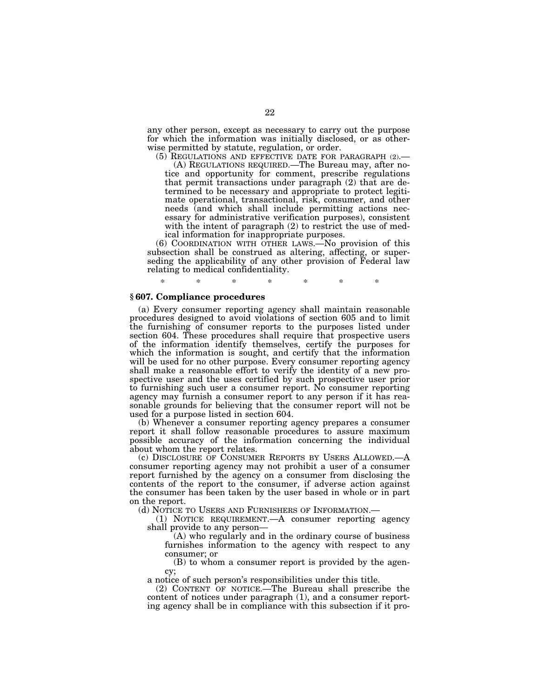any other person, except as necessary to carry out the purpose for which the information was initially disclosed, or as otherwise permitted by statute, regulation, or order.

(5) REGULATIONS AND EFFECTIVE DATE FOR PARAGRAPH (2).— (A) REGULATIONS REQUIRED.—The Bureau may, after no-

tice and opportunity for comment, prescribe regulations that permit transactions under paragraph (2) that are determined to be necessary and appropriate to protect legitimate operational, transactional, risk, consumer, and other needs (and which shall include permitting actions necessary for administrative verification purposes), consistent with the intent of paragraph  $(2)$  to restrict the use of medical information for inappropriate purposes.

(6) COORDINATION WITH OTHER LAWS.—No provision of this subsection shall be construed as altering, affecting, or superseding the applicability of any other provision of Federal law relating to medical confidentiality.

# \* \* \* \* \* \* \*

# **§ 607. Compliance procedures**

(a) Every consumer reporting agency shall maintain reasonable procedures designed to avoid violations of section 605 and to limit the furnishing of consumer reports to the purposes listed under section 604. These procedures shall require that prospective users of the information identify themselves, certify the purposes for which the information is sought, and certify that the information will be used for no other purpose. Every consumer reporting agency shall make a reasonable effort to verify the identity of a new prospective user and the uses certified by such prospective user prior to furnishing such user a consumer report. No consumer reporting agency may furnish a consumer report to any person if it has reasonable grounds for believing that the consumer report will not be used for a purpose listed in section 604.

(b) Whenever a consumer reporting agency prepares a consumer report it shall follow reasonable procedures to assure maximum possible accuracy of the information concerning the individual about whom the report relates.

(c) DISCLOSURE OF CONSUMER REPORTS BY USERS ALLOWED.—A consumer reporting agency may not prohibit a user of a consumer report furnished by the agency on a consumer from disclosing the contents of the report to the consumer, if adverse action against the consumer has been taken by the user based in whole or in part on the report.<br>(d) NOTICE TO USERS AND FURNISHERS OF INFORMATION.—

(1) NOTICE REQUIREMENT.—A consumer reporting agency shall provide to any person—

(A) who regularly and in the ordinary course of business furnishes information to the agency with respect to any consumer; or

(B) to whom a consumer report is provided by the agency;

a notice of such person's responsibilities under this title.

(2) CONTENT OF NOTICE.—The Bureau shall prescribe the content of notices under paragraph (1), and a consumer reporting agency shall be in compliance with this subsection if it pro-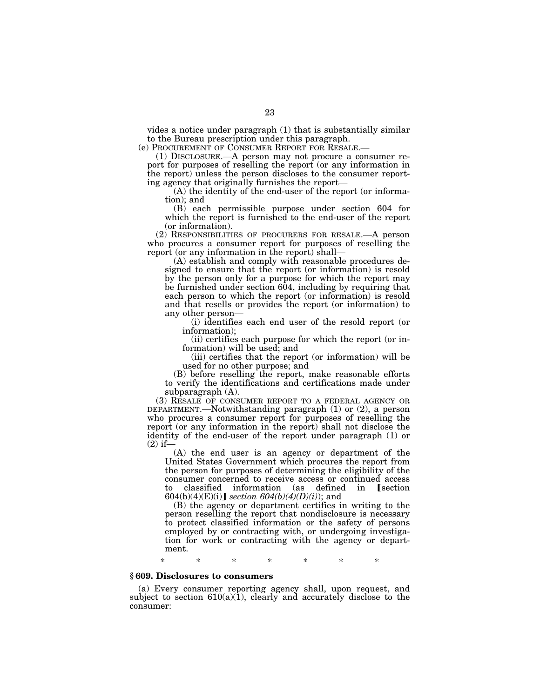vides a notice under paragraph (1) that is substantially similar to the Bureau prescription under this paragraph.

(e) PROCUREMENT OF CONSUMER REPORT FOR RESALE.— (1) DISCLOSURE.—A person may not procure a consumer report for purposes of reselling the report (or any information in the report) unless the person discloses to the consumer reporting agency that originally furnishes the report—

(A) the identity of the end-user of the report (or information); and

(B) each permissible purpose under section 604 for which the report is furnished to the end-user of the report (or information).

(2) RESPONSIBILITIES OF PROCURERS FOR RESALE.—A person who procures a consumer report for purposes of reselling the report (or any information in the report) shall—

(A) establish and comply with reasonable procedures designed to ensure that the report (or information) is resold by the person only for a purpose for which the report may be furnished under section 604, including by requiring that each person to which the report (or information) is resold and that resells or provides the report (or information) to any other person—

(i) identifies each end user of the resold report (or information);

(ii) certifies each purpose for which the report (or information) will be used; and

(iii) certifies that the report (or information) will be used for no other purpose; and

(B) before reselling the report, make reasonable efforts to verify the identifications and certifications made under subparagraph (A).

(3) RESALE OF CONSUMER REPORT TO A FEDERAL AGENCY OR DEPARTMENT.—Notwithstanding paragraph (1) or (2), a person who procures a consumer report for purposes of reselling the report (or any information in the report) shall not disclose the identity of the end-user of the report under paragraph (1) or  $(2)$  if-

(A) the end user is an agency or department of the United States Government which procures the report from the person for purposes of determining the eligibility of the consumer concerned to receive access or continued access to classified information (as defined in [section]  $604(b)(4)(E)(i)$  *section*  $604(b)(4)(D)(i)$ ; and

(B) the agency or department certifies in writing to the person reselling the report that nondisclosure is necessary to protect classified information or the safety of persons employed by or contracting with, or undergoing investigation for work or contracting with the agency or department.

\* \* \* \* \* \* \*

# **§ 609. Disclosures to consumers**

(a) Every consumer reporting agency shall, upon request, and subject to section  $610(a)(1)$ , clearly and accurately disclose to the consumer: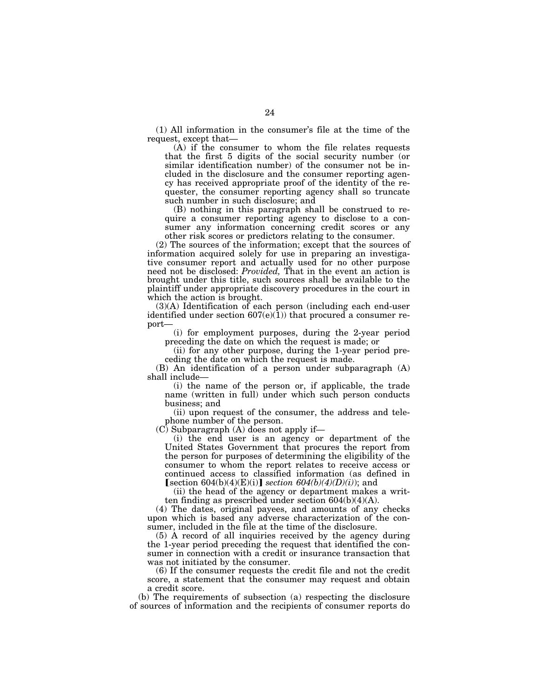(1) All information in the consumer's file at the time of the request, except that—

 $(A)$  if the consumer to whom the file relates requests that the first 5 digits of the social security number (or similar identification number) of the consumer not be included in the disclosure and the consumer reporting agency has received appropriate proof of the identity of the requester, the consumer reporting agency shall so truncate such number in such disclosure; and

(B) nothing in this paragraph shall be construed to require a consumer reporting agency to disclose to a consumer any information concerning credit scores or any other risk scores or predictors relating to the consumer.

(2) The sources of the information; except that the sources of information acquired solely for use in preparing an investigative consumer report and actually used for no other purpose need not be disclosed: *Provided,* That in the event an action is brought under this title, such sources shall be available to the plaintiff under appropriate discovery procedures in the court in which the action is brought.

(3)(A) Identification of each person (including each end-user identified under section  $607(e)(1)$ ) that procured a consumer report—

(i) for employment purposes, during the 2-year period preceding the date on which the request is made; or

(ii) for any other purpose, during the 1-year period preceding the date on which the request is made.

(B) An identification of a person under subparagraph (A) shall include—

(i) the name of the person or, if applicable, the trade name (written in full) under which such person conducts business; and

(ii) upon request of the consumer, the address and telephone number of the person.

(C) Subparagraph (A) does not apply if—

(i) the end user is an agency or department of the United States Government that procures the report from the person for purposes of determining the eligibility of the consumer to whom the report relates to receive access or continued access to classified information (as defined in [section  $604(b)(4)(E)(i)$ ] *section*  $604(b)(4)(D)(i)$ ; and

(ii) the head of the agency or department makes a written finding as prescribed under section  $604(b)(4)(A)$ .

(4) The dates, original payees, and amounts of any checks upon which is based any adverse characterization of the consumer, included in the file at the time of the disclosure.

(5) A record of all inquiries received by the agency during the 1-year period preceding the request that identified the consumer in connection with a credit or insurance transaction that was not initiated by the consumer.

(6) If the consumer requests the credit file and not the credit score, a statement that the consumer may request and obtain a credit score.

(b) The requirements of subsection (a) respecting the disclosure of sources of information and the recipients of consumer reports do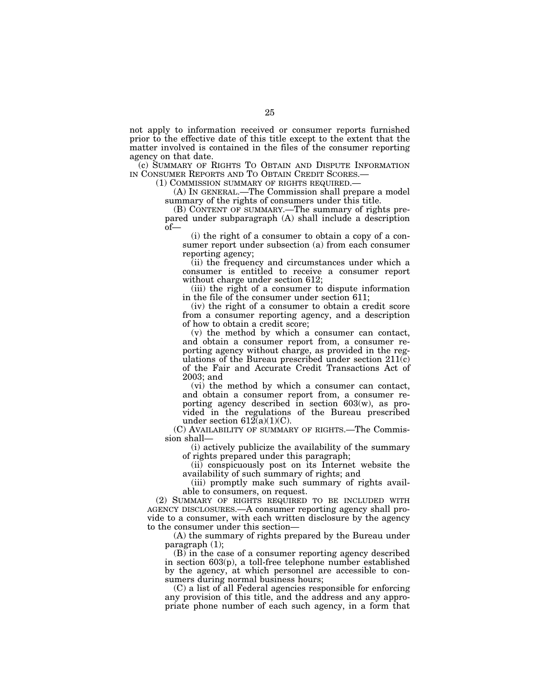not apply to information received or consumer reports furnished prior to the effective date of this title except to the extent that the matter involved is contained in the files of the consumer reporting agency on that date.

(c) SUMMARY OF RIGHTS TO OBTAIN AND DISPUTE INFORMATION IN CONSUMER REPORTS AND TO OBTAIN CREDIT SCORES.—

 $(1)$  COMMISSION SUMMARY OF RIGHTS REQUIRED.— $(2)$  IN GENERAL.—The Commission shall prepare a model summary of the rights of consumers under this title.

(B) CONTENT OF SUMMARY.—The summary of rights prepared under subparagraph (A) shall include a description of—

(i) the right of a consumer to obtain a copy of a consumer report under subsection (a) from each consumer reporting agency;

(ii) the frequency and circumstances under which a consumer is entitled to receive a consumer report without charge under section 612;

(iii) the right of a consumer to dispute information in the file of the consumer under section 611;

(iv) the right of a consumer to obtain a credit score from a consumer reporting agency, and a description of how to obtain a credit score;

(v) the method by which a consumer can contact, and obtain a consumer report from, a consumer reporting agency without charge, as provided in the regulations of the Bureau prescribed under section  $211(c)$ of the Fair and Accurate Credit Transactions Act of 2003; and

(vi) the method by which a consumer can contact, and obtain a consumer report from, a consumer reporting agency described in section 603(w), as provided in the regulations of the Bureau prescribed under section  $612(a)(1)(C)$ .

(C) AVAILABILITY OF SUMMARY OF RIGHTS.—The Commission shall—

(i) actively publicize the availability of the summary of rights prepared under this paragraph;

(ii) conspicuously post on its Internet website the availability of such summary of rights; and

(iii) promptly make such summary of rights available to consumers, on request.

(2) SUMMARY OF RIGHTS REQUIRED TO BE INCLUDED WITH AGENCY DISCLOSURES.—A consumer reporting agency shall provide to a consumer, with each written disclosure by the agency to the consumer under this section—

(A) the summary of rights prepared by the Bureau under paragraph (1);

(B) in the case of a consumer reporting agency described in section 603(p), a toll-free telephone number established by the agency, at which personnel are accessible to consumers during normal business hours;

(C) a list of all Federal agencies responsible for enforcing any provision of this title, and the address and any appropriate phone number of each such agency, in a form that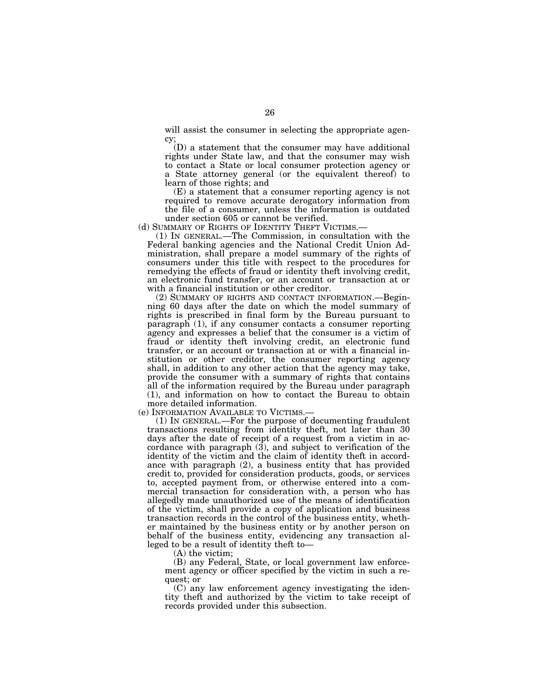will assist the consumer in selecting the appropriate agency;

(D) a statement that the consumer may have additional rights under State law, and that the consumer may wish to contact a State or local consumer protection agency or a State attorney general (or the equivalent thereof) to learn of those rights; and

(E) a statement that a consumer reporting agency is not required to remove accurate derogatory information from the file of a consumer, unless the information is outdated under section 605 or cannot be verified.

(d) SUMMARY OF RIGHTS OF IDENTITY THEFT VICTIMS.—

(1) IN GENERAL.—The Commission, in consultation with the Federal banking agencies and the National Credit Union Administration, shall prepare a model summary of the rights of consumers under this title with respect to the procedures for remedying the effects of fraud or identity theft involving credit, an electronic fund transfer, or an account or transaction at or with a financial institution or other creditor.

(2) SUMMARY OF RIGHTS AND CONTACT INFORMATION.—Beginning 60 days after the date on which the model summary of rights is prescribed in final form by the Bureau pursuant to paragraph (1), if any consumer contacts a consumer reporting agency and expresses a belief that the consumer is a victim of fraud or identity theft involving credit, an electronic fund transfer, or an account or transaction at or with a financial institution or other creditor, the consumer reporting agency shall, in addition to any other action that the agency may take, provide the consumer with a summary of rights that contains all of the information required by the Bureau under paragraph (1), and information on how to contact the Bureau to obtain more detailed information.<br>(e) INFORMATION AVAILABLE TO VICTIMS.—

 $(1)$  IN GENERAL.—For the purpose of documenting fraudulent transactions resulting from identity theft, not later than 30 days after the date of receipt of a request from a victim in accordance with paragraph  $(3)$ , and subject to verification of the identity of the victim and the claim of identity theft in accordance with paragraph (2), a business entity that has provided credit to, provided for consideration products, goods, or services to, accepted payment from, or otherwise entered into a commercial transaction for consideration with, a person who has allegedly made unauthorized use of the means of identification of the victim, shall provide a copy of application and business transaction records in the control of the business entity, whether maintained by the business entity or by another person on behalf of the business entity, evidencing any transaction alleged to be a result of identity theft to—

(A) the victim;

(B) any Federal, State, or local government law enforcement agency or officer specified by the victim in such a request; or

(C) any law enforcement agency investigating the identity theft and authorized by the victim to take receipt of records provided under this subsection.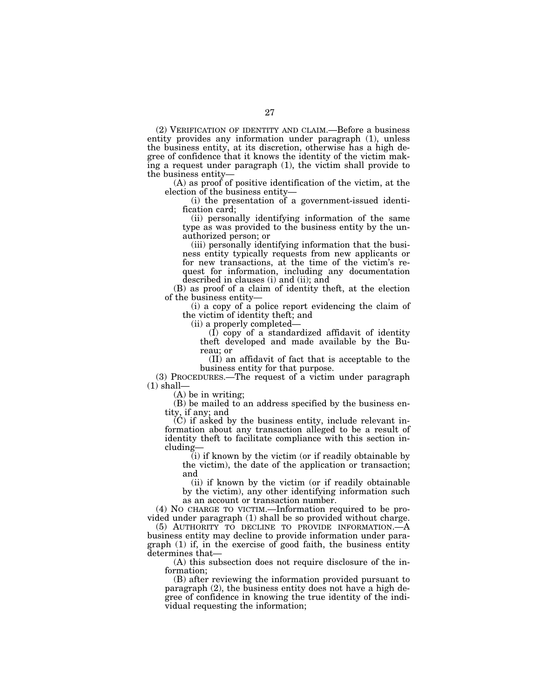(2) VERIFICATION OF IDENTITY AND CLAIM.—Before a business entity provides any information under paragraph (1), unless the business entity, at its discretion, otherwise has a high degree of confidence that it knows the identity of the victim making a request under paragraph (1), the victim shall provide to the business entity—

(A) as proof of positive identification of the victim, at the election of the business entity—

(i) the presentation of a government-issued identification card;

(ii) personally identifying information of the same type as was provided to the business entity by the unauthorized person; or

(iii) personally identifying information that the business entity typically requests from new applicants or for new transactions, at the time of the victim's request for information, including any documentation described in clauses (i) and (ii); and

(B) as proof of a claim of identity theft, at the election of the business entity—

(i) a copy of a police report evidencing the claim of the victim of identity theft; and

(ii) a properly completed—

(I) copy of a standardized affidavit of identity theft developed and made available by the Bureau; or

(II) an affidavit of fact that is acceptable to the business entity for that purpose.

(3) PROCEDURES.—The request of a victim under paragraph  $(1)$  shall-

(A) be in writing;

(B) be mailed to an address specified by the business entity, if any; and

 $(C)$  if asked by the business entity, include relevant information about any transaction alleged to be a result of identity theft to facilitate compliance with this section including—

(i) if known by the victim (or if readily obtainable by the victim), the date of the application or transaction; and

(ii) if known by the victim (or if readily obtainable by the victim), any other identifying information such as an account or transaction number.

(4) NO CHARGE TO VICTIM.—Information required to be provided under paragraph (1) shall be so provided without charge.

(5) AUTHORITY TO DECLINE TO PROVIDE INFORMATION.—A business entity may decline to provide information under paragraph (1) if, in the exercise of good faith, the business entity determines that—

(A) this subsection does not require disclosure of the information;

(B) after reviewing the information provided pursuant to paragraph (2), the business entity does not have a high degree of confidence in knowing the true identity of the individual requesting the information;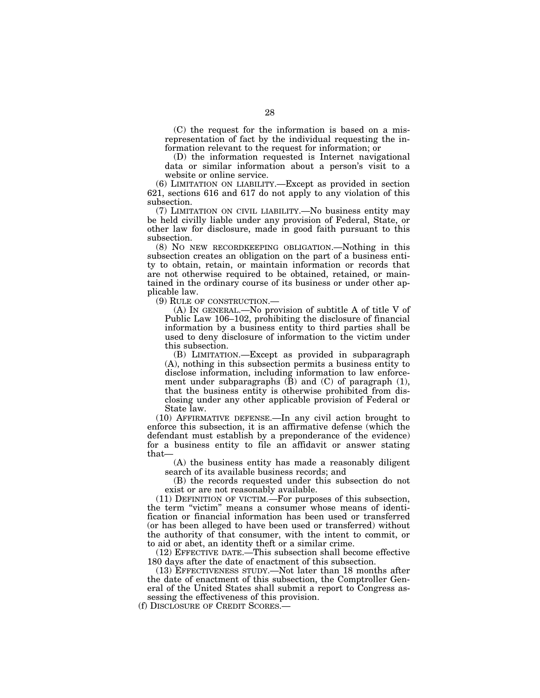(C) the request for the information is based on a misrepresentation of fact by the individual requesting the information relevant to the request for information; or

(D) the information requested is Internet navigational data or similar information about a person's visit to a website or online service.

(6) LIMITATION ON LIABILITY.—Except as provided in section 621, sections 616 and 617 do not apply to any violation of this subsection.

(7) LIMITATION ON CIVIL LIABILITY.—No business entity may be held civilly liable under any provision of Federal, State, or other law for disclosure, made in good faith pursuant to this subsection.

(8) NO NEW RECORDKEEPING OBLIGATION.—Nothing in this subsection creates an obligation on the part of a business entity to obtain, retain, or maintain information or records that are not otherwise required to be obtained, retained, or maintained in the ordinary course of its business or under other applicable law.

(9) RULE OF CONSTRUCTION.—

(A) IN GENERAL.—No provision of subtitle A of title V of Public Law 106–102, prohibiting the disclosure of financial information by a business entity to third parties shall be used to deny disclosure of information to the victim under this subsection.

(B) LIMITATION.—Except as provided in subparagraph (A), nothing in this subsection permits a business entity to disclose information, including information to law enforcement under subparagraphs  $(B)$  and  $(C)$  of paragraph  $(1)$ , that the business entity is otherwise prohibited from disclosing under any other applicable provision of Federal or State law.

(10) AFFIRMATIVE DEFENSE.—In any civil action brought to enforce this subsection, it is an affirmative defense (which the defendant must establish by a preponderance of the evidence) for a business entity to file an affidavit or answer stating that—

(A) the business entity has made a reasonably diligent search of its available business records; and

(B) the records requested under this subsection do not exist or are not reasonably available.

(11) DEFINITION OF VICTIM.—For purposes of this subsection, the term "victim" means a consumer whose means of identification or financial information has been used or transferred (or has been alleged to have been used or transferred) without the authority of that consumer, with the intent to commit, or to aid or abet, an identity theft or a similar crime.

(12) EFFECTIVE DATE.—This subsection shall become effective 180 days after the date of enactment of this subsection.

(13) EFFECTIVENESS STUDY.—Not later than 18 months after the date of enactment of this subsection, the Comptroller General of the United States shall submit a report to Congress assessing the effectiveness of this provision.

(f) DISCLOSURE OF CREDIT SCORES.—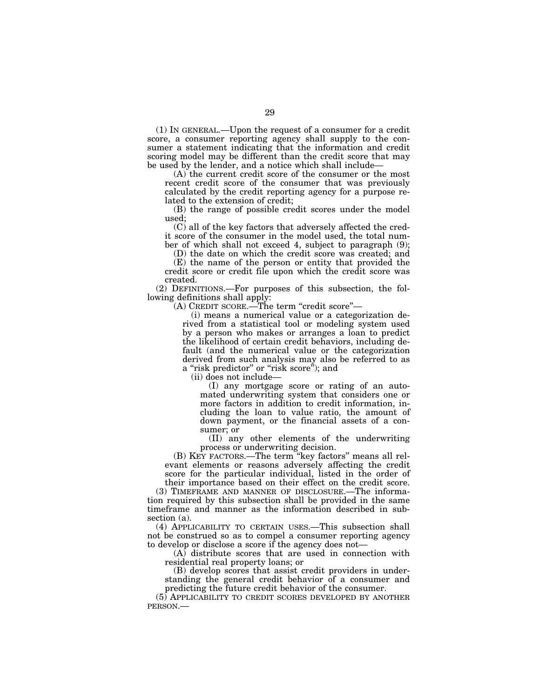(1) IN GENERAL.—Upon the request of a consumer for a credit score, a consumer reporting agency shall supply to the consumer a statement indicating that the information and credit scoring model may be different than the credit score that may be used by the lender, and a notice which shall include—

(A) the current credit score of the consumer or the most recent credit score of the consumer that was previously calculated by the credit reporting agency for a purpose related to the extension of credit;

(B) the range of possible credit scores under the model used;

(C) all of the key factors that adversely affected the credit score of the consumer in the model used, the total number of which shall not exceed 4, subject to paragraph (9);

(D) the date on which the credit score was created; and (E) the name of the person or entity that provided the

credit score or credit file upon which the credit score was created.

(2) DEFINITIONS.—For purposes of this subsection, the following definitions shall apply:

 $(A)$  CREDIT SCORE.—The term "credit score"—

(i) means a numerical value or a categorization derived from a statistical tool or modeling system used by a person who makes or arranges a loan to predict the likelihood of certain credit behaviors, including default (and the numerical value or the categorization derived from such analysis may also be referred to as a "risk predictor" or "risk score"; and

(ii) does not include—

(I) any mortgage score or rating of an automated underwriting system that considers one or more factors in addition to credit information, including the loan to value ratio, the amount of down payment, or the financial assets of a consumer; or

(II) any other elements of the underwriting process or underwriting decision.

(B) KEY FACTORS.—The term ''key factors'' means all relevant elements or reasons adversely affecting the credit score for the particular individual, listed in the order of their importance based on their effect on the credit score.

(3) TIMEFRAME AND MANNER OF DISCLOSURE.—The information required by this subsection shall be provided in the same timeframe and manner as the information described in subsection (a).

(4) APPLICABILITY TO CERTAIN USES.—This subsection shall not be construed so as to compel a consumer reporting agency to develop or disclose a score if the agency does not—

(A) distribute scores that are used in connection with residential real property loans; or

(B) develop scores that assist credit providers in understanding the general credit behavior of a consumer and predicting the future credit behavior of the consumer.

(5) APPLICABILITY TO CREDIT SCORES DEVELOPED BY ANOTHER PERSON.—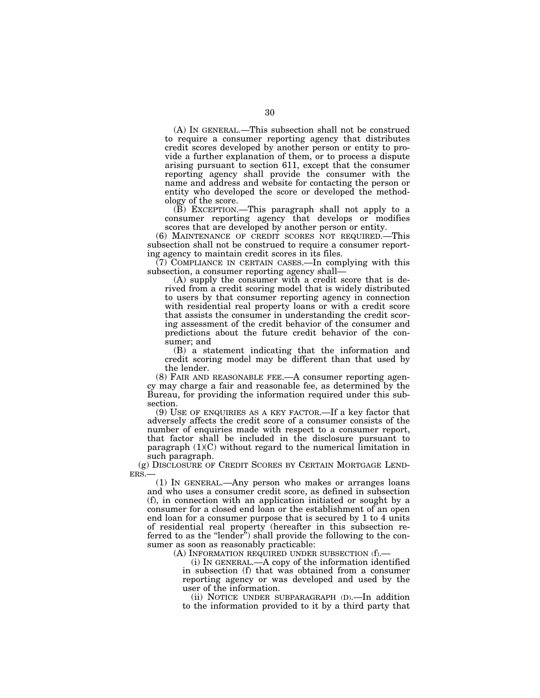(A) IN GENERAL.—This subsection shall not be construed to require a consumer reporting agency that distributes credit scores developed by another person or entity to provide a further explanation of them, or to process a dispute arising pursuant to section 611, except that the consumer reporting agency shall provide the consumer with the name and address and website for contacting the person or entity who developed the score or developed the methodology of the score.

(B) EXCEPTION.—This paragraph shall not apply to a consumer reporting agency that develops or modifies scores that are developed by another person or entity.

(6) MAINTENANCE OF CREDIT SCORES NOT REQUIRED.—This subsection shall not be construed to require a consumer reporting agency to maintain credit scores in its files.

(7) COMPLIANCE IN CERTAIN CASES.—In complying with this subsection, a consumer reporting agency shall—

(A) supply the consumer with a credit score that is derived from a credit scoring model that is widely distributed to users by that consumer reporting agency in connection with residential real property loans or with a credit score that assists the consumer in understanding the credit scoring assessment of the credit behavior of the consumer and predictions about the future credit behavior of the consumer; and

(B) a statement indicating that the information and credit scoring model may be different than that used by the lender.

(8) FAIR AND REASONABLE FEE.—A consumer reporting agency may charge a fair and reasonable fee, as determined by the Bureau, for providing the information required under this subsection.

(9) USE OF ENQUIRIES AS A KEY FACTOR.—If a key factor that adversely affects the credit score of a consumer consists of the number of enquiries made with respect to a consumer report, that factor shall be included in the disclosure pursuant to paragraph  $(1)(C)$  without regard to the numerical limitation in such paragraph.

(g) DISCLOSURE OF CREDIT SCORES BY CERTAIN MORTGAGE LENDERS.—

(1) IN GENERAL.—Any person who makes or arranges loans and who uses a consumer credit score, as defined in subsection (f), in connection with an application initiated or sought by a consumer for a closed end loan or the establishment of an open end loan for a consumer purpose that is secured by 1 to 4 units of residential real property (hereafter in this subsection referred to as the "lender") shall provide the following to the consumer as soon as reasonably practicable:

(A) INFORMATION REQUIRED UNDER SUBSECTION  $(f)$ .<br>(i) IN GENERAL.—A copy of the information identified in subsection (f) that was obtained from a consumer reporting agency or was developed and used by the user of the information.

(ii) NOTICE UNDER SUBPARAGRAPH (D).—In addition to the information provided to it by a third party that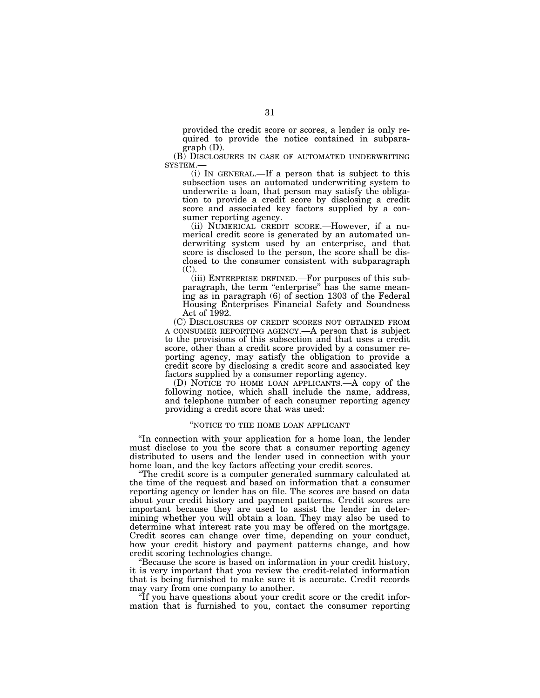provided the credit score or scores, a lender is only required to provide the notice contained in subparagraph (D).

(B) DISCLOSURES IN CASE OF AUTOMATED UNDERWRITING SYSTEM.—

(i) IN GENERAL.—If a person that is subject to this subsection uses an automated underwriting system to underwrite a loan, that person may satisfy the obligation to provide a credit score by disclosing a credit score and associated key factors supplied by a consumer reporting agency.

(ii) NUMERICAL CREDIT SCORE.—However, if a numerical credit score is generated by an automated underwriting system used by an enterprise, and that score is disclosed to the person, the score shall be disclosed to the consumer consistent with subparagraph  $(C)$ 

(iii) ENTERPRISE DEFINED.—For purposes of this subparagraph, the term ''enterprise'' has the same meaning as in paragraph (6) of section 1303 of the Federal Housing Enterprises Financial Safety and Soundness Act of 1992.

(C) DISCLOSURES OF CREDIT SCORES NOT OBTAINED FROM A CONSUMER REPORTING AGENCY.—A person that is subject to the provisions of this subsection and that uses a credit score, other than a credit score provided by a consumer reporting agency, may satisfy the obligation to provide a credit score by disclosing a credit score and associated key factors supplied by a consumer reporting agency.

(D) NOTICE TO HOME LOAN APPLICANTS.—A copy of the following notice, which shall include the name, address, and telephone number of each consumer reporting agency providing a credit score that was used:

## ''NOTICE TO THE HOME LOAN APPLICANT

''In connection with your application for a home loan, the lender must disclose to you the score that a consumer reporting agency distributed to users and the lender used in connection with your home loan, and the key factors affecting your credit scores.

''The credit score is a computer generated summary calculated at the time of the request and based on information that a consumer reporting agency or lender has on file. The scores are based on data about your credit history and payment patterns. Credit scores are important because they are used to assist the lender in determining whether you will obtain a loan. They may also be used to determine what interest rate you may be offered on the mortgage. Credit scores can change over time, depending on your conduct, how your credit history and payment patterns change, and how credit scoring technologies change.

''Because the score is based on information in your credit history, it is very important that you review the credit-related information that is being furnished to make sure it is accurate. Credit records may vary from one company to another.

''If you have questions about your credit score or the credit information that is furnished to you, contact the consumer reporting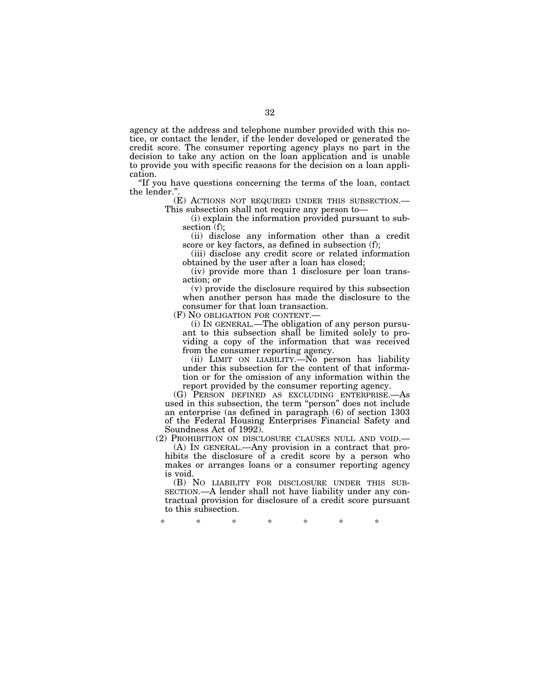agency at the address and telephone number provided with this notice, or contact the lender, if the lender developed or generated the credit score. The consumer reporting agency plays no part in the decision to take any action on the loan application and is unable to provide you with specific reasons for the decision on a loan application.

''If you have questions concerning the terms of the loan, contact the lender."

(E) ACTIONS NOT REQUIRED UNDER THIS SUBSECTION.— This subsection shall not require any person to—

(i) explain the information provided pursuant to subsection (f);

(ii) disclose any information other than a credit score or key factors, as defined in subsection (f);

(iii) disclose any credit score or related information obtained by the user after a loan has closed;

(iv) provide more than 1 disclosure per loan transaction; or

(v) provide the disclosure required by this subsection when another person has made the disclosure to the consumer for that loan transaction.

(F) NO OBLIGATION FOR CONTENT.— (i) IN GENERAL.—The obligation of any person pursuant to this subsection shall be limited solely to providing a copy of the information that was received from the consumer reporting agency.

(ii) LIMIT ON LIABILITY.—No person has liability under this subsection for the content of that information or for the omission of any information within the report provided by the consumer reporting agency.

(G) PERSON DEFINED AS EXCLUDING ENTERPRISE.—As used in this subsection, the term "person" does not include an enterprise (as defined in paragraph (6) of section 1303 of the Federal Housing Enterprises Financial Safety and Soundness Act of 1992).

(2) PROHIBITION ON DISCLOSURE CLAUSES NULL AND VOID.— (A) IN GENERAL.—Any provision in a contract that prohibits the disclosure of a credit score by a person who makes or arranges loans or a consumer reporting agency is void.

(B) NO LIABILITY FOR DISCLOSURE UNDER THIS SUB-SECTION.—A lender shall not have liability under any contractual provision for disclosure of a credit score pursuant to this subsection.

\* \* \* \* \* \* \*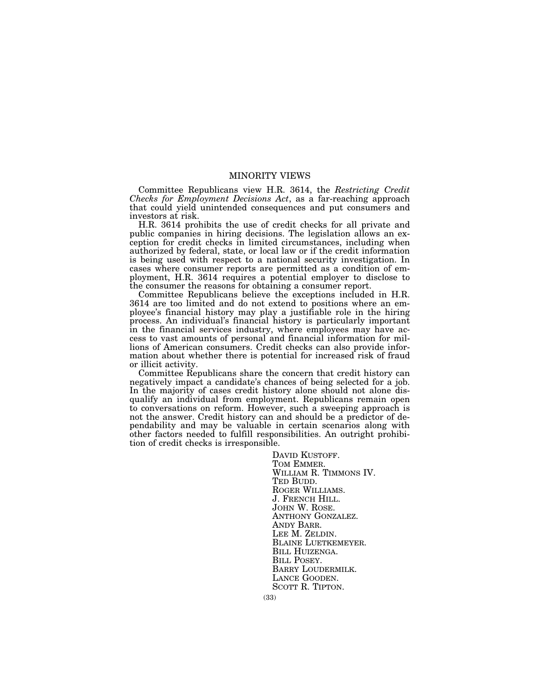# MINORITY VIEWS

Committee Republicans view H.R. 3614, the *Restricting Credit Checks for Employment Decisions Act*, as a far-reaching approach that could yield unintended consequences and put consumers and investors at risk.

H.R. 3614 prohibits the use of credit checks for all private and public companies in hiring decisions. The legislation allows an exception for credit checks in limited circumstances, including when authorized by federal, state, or local law or if the credit information is being used with respect to a national security investigation. In cases where consumer reports are permitted as a condition of employment, H.R. 3614 requires a potential employer to disclose to the consumer the reasons for obtaining a consumer report.

Committee Republicans believe the exceptions included in H.R. 3614 are too limited and do not extend to positions where an employee's financial history may play a justifiable role in the hiring process. An individual's financial history is particularly important in the financial services industry, where employees may have access to vast amounts of personal and financial information for millions of American consumers. Credit checks can also provide information about whether there is potential for increased risk of fraud or illicit activity.

Committee Republicans share the concern that credit history can negatively impact a candidate's chances of being selected for a job. In the majority of cases credit history alone should not alone disqualify an individual from employment. Republicans remain open to conversations on reform. However, such a sweeping approach is not the answer. Credit history can and should be a predictor of dependability and may be valuable in certain scenarios along with other factors needed to fulfill responsibilities. An outright prohibition of credit checks is irresponsible.

> DAVID KUSTOFF.<br>TOM EMMER.<br>WILLIAM R. TIMMONS IV.<br>TED BUDD. TED BUDD.<br>ROGER WILLIAMS.<br>J. French HILL.<br>JOHN W. ROSE.<br>ANTHONY GONZALEZ.<br>ANDY BARR.<br>LEE M. ZELDIN.<br>BLAINE LUETKEMEYER.<br>BILL HUIZENGA.<br>BILL HUIZENGA.<br>BILL POSEY. BARRY LOUDERMILK. LANCE GOODEN. SCOTT R. TIPTON.